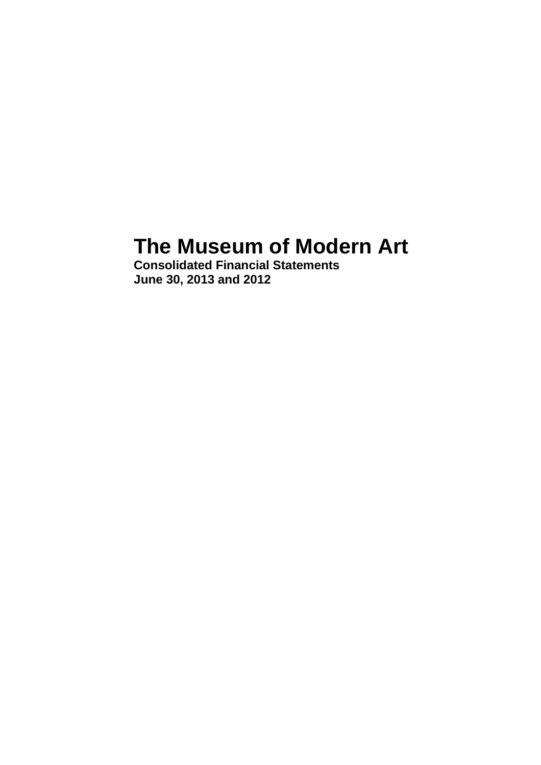# **The Museum of Modern Art**

**Consolidated Financial Statements June 30, 2013 and 2012**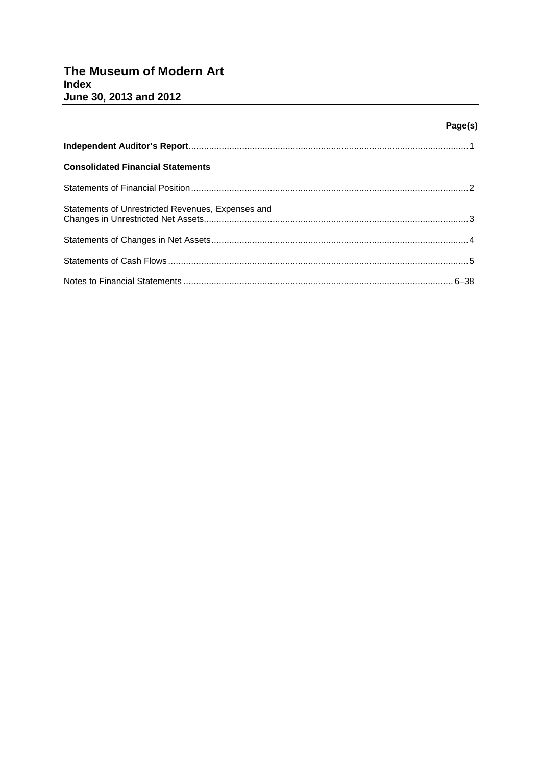### **Page(s)**

| <b>Consolidated Financial Statements</b>          |  |
|---------------------------------------------------|--|
|                                                   |  |
| Statements of Unrestricted Revenues, Expenses and |  |
|                                                   |  |
|                                                   |  |
|                                                   |  |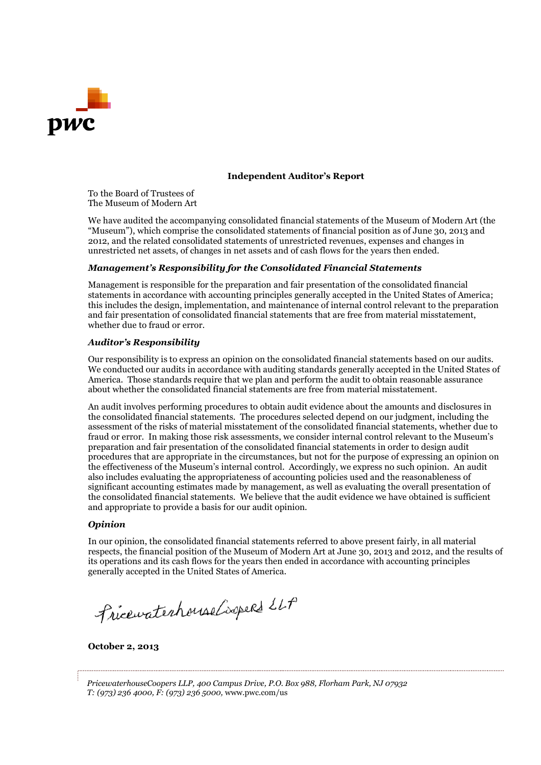

### **Independent Auditor's Report**

To the Board of Trustees of The Museum of Modern Art

We have audited the accompanying consolidated financial statements of the Museum of Modern Art (the "Museum"), which comprise the consolidated statements of financial position as of June 30, 2013 and 2012, and the related consolidated statements of unrestricted revenues, expenses and changes in unrestricted net assets, of changes in net assets and of cash flows for the years then ended.

### *Management's Responsibility for the Consolidated Financial Statements*

Management is responsible for the preparation and fair presentation of the consolidated financial statements in accordance with accounting principles generally accepted in the United States of America; this includes the design, implementation, and maintenance of internal control relevant to the preparation and fair presentation of consolidated financial statements that are free from material misstatement, whether due to fraud or error.

#### *Auditor's Responsibility*

Our responsibility is to express an opinion on the consolidated financial statements based on our audits. We conducted our audits in accordance with auditing standards generally accepted in the United States of America. Those standards require that we plan and perform the audit to obtain reasonable assurance about whether the consolidated financial statements are free from material misstatement.

An audit involves performing procedures to obtain audit evidence about the amounts and disclosures in the consolidated financial statements. The procedures selected depend on our judgment, including the assessment of the risks of material misstatement of the consolidated financial statements, whether due to fraud or error. In making those risk assessments, we consider internal control relevant to the Museum's preparation and fair presentation of the consolidated financial statements in order to design audit procedures that are appropriate in the circumstances, but not for the purpose of expressing an opinion on the effectiveness of the Museum's internal control. Accordingly, we express no such opinion. An audit also includes evaluating the appropriateness of accounting policies used and the reasonableness of significant accounting estimates made by management, as well as evaluating the overall presentation of the consolidated financial statements. We believe that the audit evidence we have obtained is sufficient and appropriate to provide a basis for our audit opinion.

### *Opinion*

In our opinion, the consolidated financial statements referred to above present fairly, in all material respects, the financial position of the Museum of Modern Art at June 30, 2013 and 2012, and the results of its operations and its cash flows for the years then ended in accordance with accounting principles generally accepted in the United States of America.

Pricewaterhouse Coopers LLP

**October 2, 2013**

*PricewaterhouseCoopers LLP, 400 Campus Drive, P.O. Box 988, Florham Park, NJ 07932 T: (973) 236 4000, F: (973) 236 5000,* www.pwc.com/us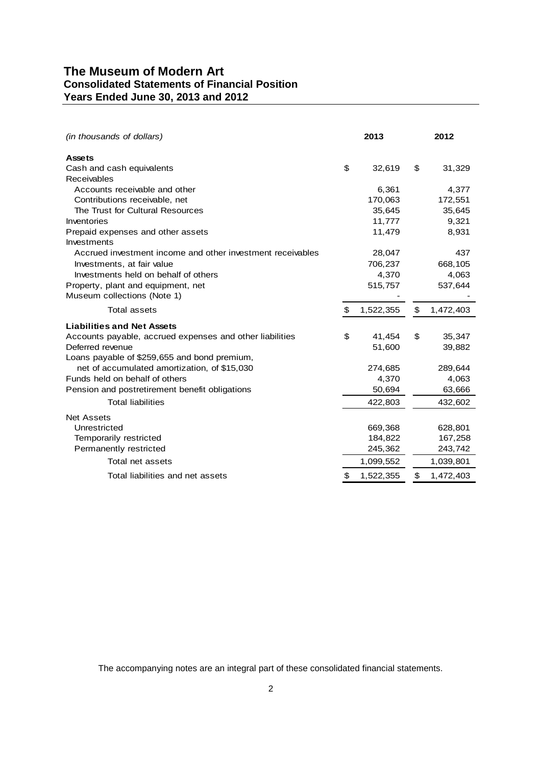# **The Museum of Modern Art Consolidated Statements of Financial Position Years Ended June 30, 2013 and 2012**

| (in thousands of dollars)                                  | 2013            | 2012            |
|------------------------------------------------------------|-----------------|-----------------|
| <b>Assets</b>                                              |                 |                 |
| Cash and cash equivalents                                  | \$<br>32,619    | \$<br>31,329    |
| Receivables                                                |                 |                 |
| Accounts receivable and other                              | 6,361           | 4,377           |
| Contributions receivable, net                              | 170,063         | 172,551         |
| The Trust for Cultural Resources                           | 35,645          | 35,645          |
| Inventories                                                | 11,777          | 9,321           |
| Prepaid expenses and other assets                          | 11,479          | 8,931           |
| Investments                                                |                 |                 |
| Accrued investment income and other investment receivables | 28,047          | 437             |
| Investments, at fair value                                 | 706,237         | 668,105         |
| Investments held on behalf of others                       | 4,370           | 4,063           |
| Property, plant and equipment, net                         | 515,757         | 537,644         |
| Museum collections (Note 1)                                |                 |                 |
| <b>Total assets</b>                                        | \$<br>1,522,355 | \$<br>1,472,403 |
| <b>Liabilities and Net Assets</b>                          |                 |                 |
| Accounts payable, accrued expenses and other liabilities   | \$<br>41,454    | \$<br>35,347    |
| Deferred revenue                                           | 51,600          | 39,882          |
| Loans payable of \$259,655 and bond premium,               |                 |                 |
| net of accumulated amortization, of \$15,030               | 274,685         | 289,644         |
| Funds held on behalf of others                             | 4,370           | 4,063           |
| Pension and postretirement benefit obligations             | 50,694          | 63,666          |
| <b>Total liabilities</b>                                   | 422,803         | 432,602         |
| <b>Net Assets</b>                                          |                 |                 |
| Unrestricted                                               | 669,368         | 628,801         |
| Temporarily restricted                                     | 184,822         | 167,258         |
| Permanently restricted                                     | 245,362         | 243,742         |
| Total net assets                                           | 1,099,552       | 1,039,801       |
| Total liabilities and net assets                           | \$<br>1,522,355 | \$<br>1,472,403 |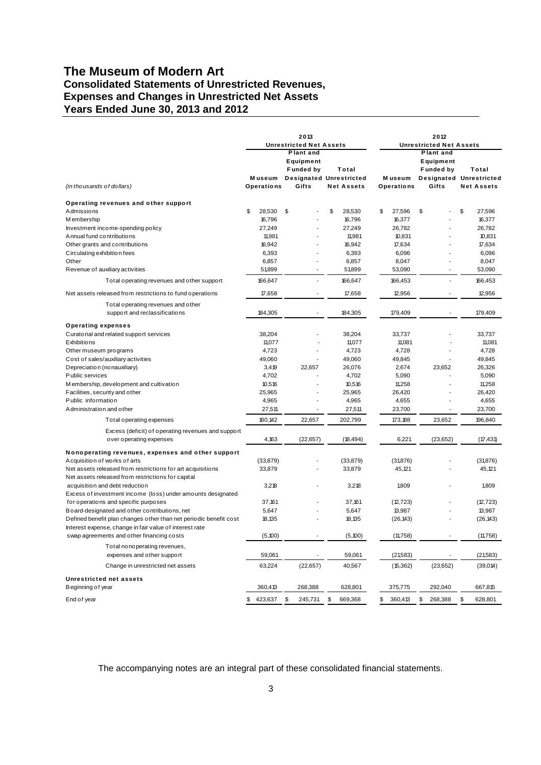# **The Museum of Modern Art Consolidated Statements of Unrestricted Revenues, Expenses and Changes in Unrestricted Net Assets Years Ended June 30, 2013 and 2012**

|                                                                                                                 |                                    |           |       | 2013<br><b>Unrestricted Net Assets</b>     |                                                     |           | 2012<br><b>Unrestricted Net Assets</b> |                     |                                     |                |                                                     |                     |  |
|-----------------------------------------------------------------------------------------------------------------|------------------------------------|-----------|-------|--------------------------------------------|-----------------------------------------------------|-----------|----------------------------------------|---------------------|-------------------------------------|----------------|-----------------------------------------------------|---------------------|--|
|                                                                                                                 |                                    |           |       | Plant and<br>Equipment<br><b>Funded by</b> |                                                     | Total     |                                        |                     | Plant and<br>Equipment<br>Funded by |                |                                                     | Total               |  |
| (in thousands of dollars)                                                                                       | <b>Museum</b><br><b>Operations</b> |           | Gifts |                                            | <b>Designated Unrestricted</b><br><b>Net Assets</b> |           | <b>Museum</b><br>Operations            |                     | Gifts                               |                | <b>Designated Unrestricted</b><br><b>Net Assets</b> |                     |  |
| Operating revenues and other support                                                                            |                                    |           |       |                                            |                                                     |           |                                        |                     |                                     |                |                                                     |                     |  |
| Admissions                                                                                                      | \$                                 | 28,530    | \$    |                                            | \$                                                  | 28,530    | \$                                     | 27,596              | \$                                  |                | \$                                                  | 27,596              |  |
| M embership                                                                                                     |                                    | 16,796    |       |                                            |                                                     | 16,796    |                                        | 16,377              |                                     |                |                                                     | 16,377              |  |
| Investment income-spending policy                                                                               |                                    | 27,249    |       |                                            |                                                     | 27,249    |                                        | 26,782              |                                     |                |                                                     | 26,782              |  |
| Annual fund contributions                                                                                       |                                    | 11,981    |       |                                            |                                                     | 11,981    |                                        | 10,831              |                                     |                |                                                     | 10,831              |  |
| Other grants and contributions                                                                                  |                                    | 16,942    |       |                                            |                                                     | 16,942    |                                        | 17,634              |                                     |                |                                                     | 17,634              |  |
| Circulating exhibition fees                                                                                     |                                    | 6,393     |       |                                            |                                                     | 6,393     |                                        | 6,096               |                                     |                |                                                     | 6,096               |  |
| Other                                                                                                           |                                    | 6,857     |       |                                            |                                                     | 6,857     |                                        | 8,047               |                                     |                |                                                     | 8,047               |  |
| Revenue of auxiliary activities                                                                                 |                                    | 51,899    |       | $\overline{a}$                             |                                                     | 51,899    |                                        | 53,090              |                                     | $\overline{a}$ |                                                     | 53,090              |  |
| Total operating revenues and other support                                                                      |                                    | 166,647   |       |                                            |                                                     | 166,647   |                                        | 166,453             |                                     |                |                                                     | 166,453             |  |
| Net assets released from restrictions to fund operations                                                        |                                    | 17,658    |       | $\blacksquare$                             |                                                     | 17,658    |                                        | 12,956              |                                     | $\blacksquare$ |                                                     | 12,956              |  |
| Total operating revenues and other<br>support and reclassifications                                             |                                    | 184,305   |       | $\blacksquare$                             |                                                     | 184,305   |                                        | 179,409             |                                     | $\blacksquare$ |                                                     | 179,409             |  |
| <b>Operating expenses</b>                                                                                       |                                    |           |       |                                            |                                                     |           |                                        |                     |                                     |                |                                                     |                     |  |
| Curatorial and related support services                                                                         |                                    | 38,204    |       |                                            |                                                     | 38,204    |                                        | 33,737              |                                     |                |                                                     | 33,737              |  |
| <b>Exhibitions</b>                                                                                              |                                    | 11,077    |       |                                            |                                                     | 11,077    |                                        | 11,081              |                                     |                |                                                     | 11,081              |  |
| Other museum programs                                                                                           |                                    | 4,723     |       |                                            |                                                     | 4,723     |                                        | 4,728               |                                     |                |                                                     | 4,728               |  |
| Cost of sales/auxiliary activities                                                                              |                                    | 49,060    |       |                                            |                                                     | 49,060    |                                        | 49,845              |                                     |                |                                                     | 49,845              |  |
| Depreciation (nonauxiliary)                                                                                     |                                    | 3,419     |       | 22,657                                     |                                                     | 26,076    |                                        | 2,674               |                                     | 23,652         |                                                     | 26,326              |  |
| Public services                                                                                                 |                                    | 4,702     |       |                                            |                                                     | 4,702     |                                        | 5,090               |                                     |                |                                                     | 5,090               |  |
| Membership, development and cultivation                                                                         |                                    | 10,516    |       |                                            |                                                     | 10,516    |                                        | 11,258              |                                     |                |                                                     | 11,258              |  |
| Facilities, security and other                                                                                  |                                    | 25,965    |       |                                            |                                                     | 25,965    |                                        | 26,420              |                                     |                |                                                     | 26,420              |  |
| Public information                                                                                              |                                    | 4,965     |       |                                            |                                                     | 4,965     |                                        | 4,655               |                                     |                |                                                     | 4,655               |  |
| Administration and other                                                                                        |                                    | 27,511    |       | $\overline{a}$                             |                                                     | 27,511    |                                        | 23,700              |                                     |                |                                                     | 23,700              |  |
| Total operating expenses                                                                                        |                                    | 180,142   |       | 22,657                                     |                                                     | 202,799   |                                        | 173,188             |                                     | 23,652         |                                                     | 196,840             |  |
| Excess (deficit) of operating revenues and support                                                              |                                    |           |       |                                            |                                                     |           |                                        |                     |                                     |                |                                                     |                     |  |
| over operating expenses                                                                                         |                                    | 4,163     |       | (22, 657)                                  |                                                     | (18, 494) |                                        | 6,221               |                                     | (23, 652)      |                                                     | (17, 431)           |  |
| Nonoperating revenues, expenses and other support                                                               |                                    |           |       |                                            |                                                     |           |                                        |                     |                                     |                |                                                     |                     |  |
| Acquisition of works of arts                                                                                    |                                    | (33, 879) |       |                                            |                                                     | (33, 879) |                                        | (31, 876)           |                                     |                |                                                     | (31, 876)           |  |
| Net assets released from restrictions for art acquisitions<br>Net assets released from restrictions for capital |                                    | 33,879    |       |                                            |                                                     | 33,879    |                                        | 45,121              |                                     |                |                                                     | 45,121              |  |
| acquisition and debt reduction                                                                                  |                                    | 3,218     |       |                                            |                                                     | 3,218     |                                        | 1,809               |                                     |                |                                                     | 1,809               |  |
| Excess of investment income (loss) under amounts designated<br>for operations and specific purposes             |                                    | 37,161    |       |                                            |                                                     | 37,161    |                                        |                     |                                     |                |                                                     |                     |  |
| Board-designated and other contributions, net                                                                   |                                    | 5,647     |       |                                            |                                                     | 5,647     |                                        | (12, 723)<br>13,987 |                                     |                |                                                     | (12, 723)<br>13,987 |  |
| Defined benefit plan changes other than net periodic benefit cost                                               |                                    | 18,135    |       |                                            |                                                     | 18,135    |                                        | (26, 143)           |                                     |                |                                                     | (26, 143)           |  |
| Interest expense, change in fair value of interest rate                                                         |                                    |           |       |                                            |                                                     |           |                                        |                     |                                     |                |                                                     |                     |  |
| swap agreements and other financing costs                                                                       |                                    | (5,100)   |       |                                            |                                                     | (5,100)   |                                        | (11,758)            |                                     |                |                                                     | (11,758)            |  |
| Total nonoperating revenues,                                                                                    |                                    |           |       |                                            |                                                     |           |                                        |                     |                                     |                |                                                     |                     |  |
| expenses and other support                                                                                      |                                    | 59,061    |       |                                            |                                                     | 59,061    |                                        | (21,583)            |                                     |                |                                                     | (21,583)            |  |
| Change in unrestricted net assets                                                                               |                                    | 63,224    |       | (22, 657)                                  |                                                     | 40,567    |                                        | (15, 362)           |                                     | (23, 652)      |                                                     | (39,014)            |  |
| <b>Unrestricted net assets</b>                                                                                  |                                    |           |       |                                            |                                                     |           |                                        |                     |                                     |                |                                                     |                     |  |
| Beginning of year                                                                                               |                                    | 360,413   |       | 268,388                                    |                                                     | 628,801   |                                        | 375,775             |                                     | 292,040        |                                                     | 667,815             |  |
| End of year                                                                                                     | \$                                 | 423,637   | \$    | 245,731                                    | \$                                                  | 669.368   | \$                                     | 360,413             | \$                                  | 268.388        | \$                                                  | 628,801             |  |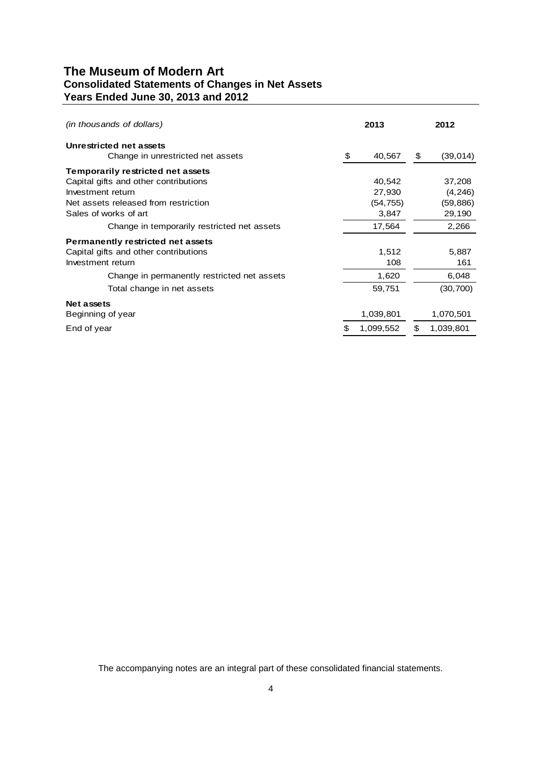# **The Museum of Modern Art Consolidated Statements of Changes in Net Assets Years Ended June 30, 2013 and 2012**

| (in thousands of dollars)                                                  |    | 2013              | 2012                |
|----------------------------------------------------------------------------|----|-------------------|---------------------|
| Unrestricted net assets<br>Change in unrestricted net assets               | \$ | 40,567            | \$<br>(39,014)      |
|                                                                            |    |                   |                     |
| Temporarily restricted net assets<br>Capital gifts and other contributions |    | 40,542            | 37,208              |
| Investment return                                                          |    | 27,930            | (4, 246)            |
| Net assets released from restriction<br>Sales of works of art              |    | (54,755)<br>3,847 | (59, 886)<br>29,190 |
| Change in temporarily restricted net assets                                |    | 17,564            | 2,266               |
| <b>Permanently restricted net assets</b>                                   |    |                   |                     |
| Capital gifts and other contributions                                      |    | 1,512             | 5,887               |
| Investment return                                                          |    | 108               | 161                 |
| Change in permanently restricted net assets                                |    | 1,620             | 6,048               |
| Total change in net assets                                                 |    | 59,751            | (30, 700)           |
| Net assets                                                                 |    |                   |                     |
| Beginning of year                                                          |    | 1,039,801         | 1,070,501           |
| End of year                                                                | S  | 1,099,552         | \$<br>1,039,801     |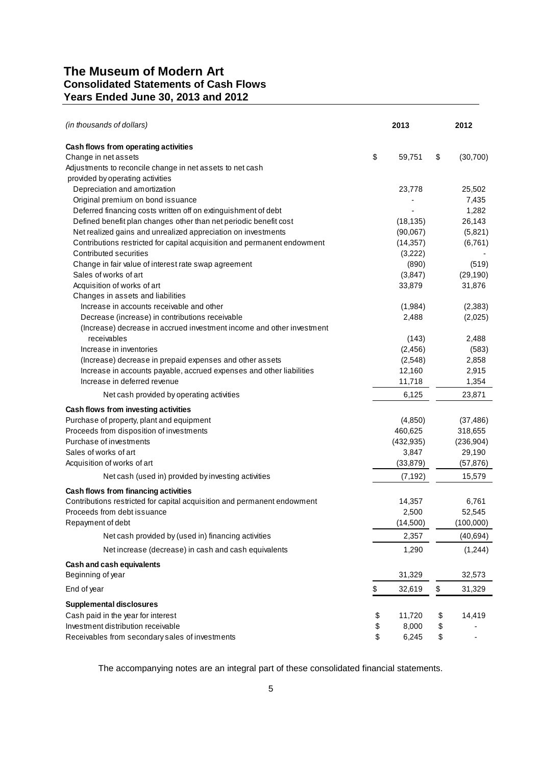# **The Museum of Modern Art Consolidated Statements of Cash Flows Years Ended June 30, 2013 and 2012**

| (in thousands of dollars)                                                | 2013         | 2012            |
|--------------------------------------------------------------------------|--------------|-----------------|
| Cash flows from operating activities                                     |              |                 |
| Change in net assets                                                     | \$<br>59,751 | \$<br>(30, 700) |
| Adjustments to reconcile change in net assets to net cash                |              |                 |
| provided by operating activities                                         |              |                 |
| Depreciation and amortization                                            | 23,778       | 25,502          |
| Original premium on bond issuance                                        |              | 7,435           |
| Deferred financing costs written off on extinguishment of debt           |              | 1,282           |
| Defined benefit plan changes other than net periodic benefit cost        | (18, 135)    | 26,143          |
| Net realized gains and unrealized appreciation on investments            | (90,067)     | (5,821)         |
| Contributions restricted for capital acquisition and permanent endowment | (14, 357)    | (6, 761)        |
| Contributed securities                                                   | (3,222)      |                 |
| Change in fair value of interest rate swap agreement                     | (890)        | (519)           |
| Sales of works of art                                                    | (3, 847)     | (29, 190)       |
| Acquisition of works of art                                              | 33,879       | 31,876          |
| Changes in assets and liabilities                                        |              |                 |
| Increase in accounts receivable and other                                | (1,984)      | (2, 383)        |
| Decrease (increase) in contributions receivable                          | 2,488        | (2,025)         |
| (Increase) decrease in accrued investment income and other investment    |              |                 |
| receivables                                                              | (143)        | 2,488           |
| Increase in inventories                                                  | (2, 456)     | (583)           |
| (Increase) decrease in prepaid expenses and other assets                 | (2,548)      | 2,858           |
| Increase in accounts payable, accrued expenses and other liabilities     | 12,160       | 2,915           |
| Increase in deferred revenue                                             | 11,718       | 1,354           |
| Net cash provided by operating activities                                | 6,125        | 23,871          |
| Cash flows from investing activities                                     |              |                 |
| Purchase of property, plant and equipment                                | (4, 850)     | (37, 486)       |
| Proceeds from disposition of investments                                 | 460,625      | 318,655         |
| Purchase of investments                                                  | (432, 935)   | (236, 904)      |
| Sales of works of art                                                    | 3,847        | 29,190          |
| Acquisition of works of art                                              | (33, 879)    | (57, 876)       |
| Net cash (used in) provided by investing activities                      | (7, 192)     | 15,579          |
| Cash flows from financing activities                                     |              |                 |
| Contributions restricted for capital acquisition and permanent endowment | 14,357       | 6,761           |
| Proceeds from debt issuance                                              | 2,500        | 52,545          |
| Repayment of debt                                                        | (14,500)     | (100,000)       |
| Net cash provided by (used in) financing activities                      | 2,357        | (40, 694)       |
| Net increase (decrease) in cash and cash equivalents                     | 1,290        | (1,244)         |
| Cash and cash equivalents                                                |              |                 |
| Beginning of year                                                        | 31,329       | 32,573          |
| End of year                                                              | \$<br>32,619 | \$<br>31,329    |
| <b>Supplemental disclosures</b>                                          |              |                 |
| Cash paid in the year for interest                                       | \$<br>11,720 | \$<br>14,419    |
| Investment distribution receivable                                       | \$<br>8,000  | \$              |
| Receivables from secondary sales of investments                          | \$<br>6,245  | \$              |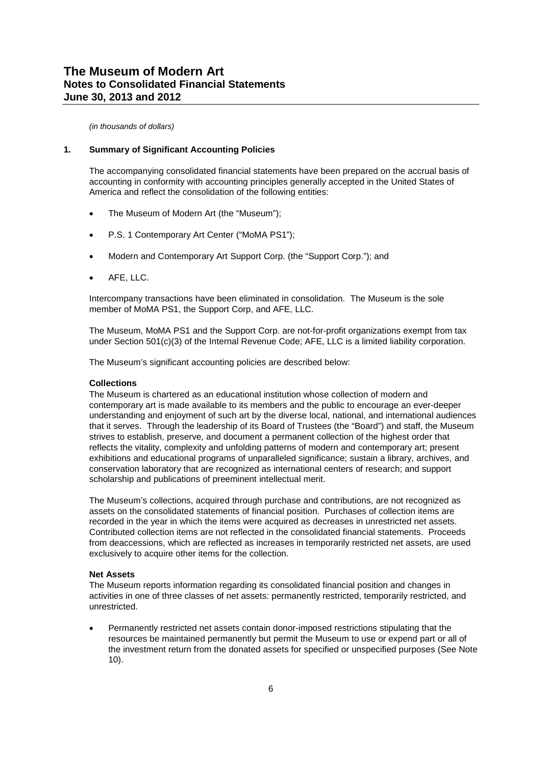*(in thousands of dollars)*

### **1. Summary of Significant Accounting Policies**

The accompanying consolidated financial statements have been prepared on the accrual basis of accounting in conformity with accounting principles generally accepted in the United States of America and reflect the consolidation of the following entities:

- The Museum of Modern Art (the "Museum");
- P.S. 1 Contemporary Art Center ("MoMA PS1");
- Modern and Contemporary Art Support Corp. (the "Support Corp."); and
- AFE, LLC.

Intercompany transactions have been eliminated in consolidation. The Museum is the sole member of MoMA PS1, the Support Corp, and AFE, LLC.

The Museum, MoMA PS1 and the Support Corp. are not-for-profit organizations exempt from tax under Section 501(c)(3) of the Internal Revenue Code; AFE, LLC is a limited liability corporation.

The Museum's significant accounting policies are described below:

#### **Collections**

The Museum is chartered as an educational institution whose collection of modern and contemporary art is made available to its members and the public to encourage an ever-deeper understanding and enjoyment of such art by the diverse local, national, and international audiences that it serves. Through the leadership of its Board of Trustees (the "Board") and staff, the Museum strives to establish, preserve, and document a permanent collection of the highest order that reflects the vitality, complexity and unfolding patterns of modern and contemporary art; present exhibitions and educational programs of unparalleled significance; sustain a library, archives, and conservation laboratory that are recognized as international centers of research; and support scholarship and publications of preeminent intellectual merit.

The Museum's collections, acquired through purchase and contributions, are not recognized as assets on the consolidated statements of financial position. Purchases of collection items are recorded in the year in which the items were acquired as decreases in unrestricted net assets. Contributed collection items are not reflected in the consolidated financial statements. Proceeds from deaccessions, which are reflected as increases in temporarily restricted net assets, are used exclusively to acquire other items for the collection.

### **Net Assets**

The Museum reports information regarding its consolidated financial position and changes in activities in one of three classes of net assets: permanently restricted, temporarily restricted, and unrestricted.

 Permanently restricted net assets contain donor-imposed restrictions stipulating that the resources be maintained permanently but permit the Museum to use or expend part or all of the investment return from the donated assets for specified or unspecified purposes (See Note 10).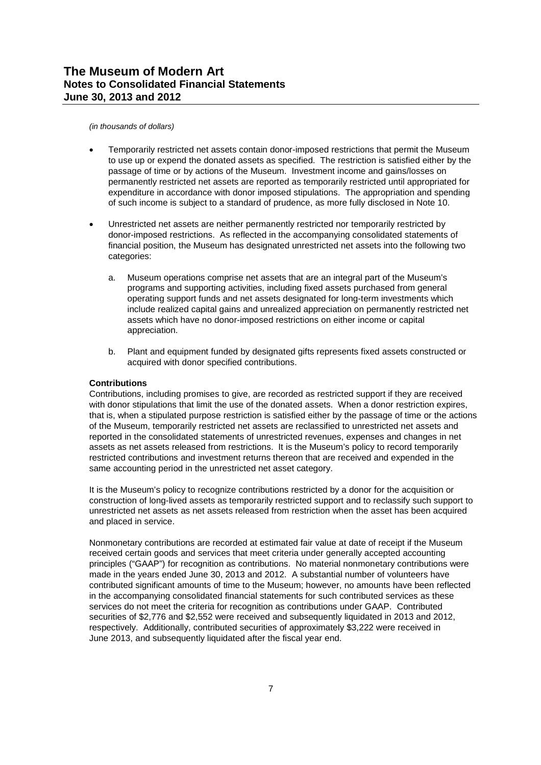#### *(in thousands of dollars)*

- Temporarily restricted net assets contain donor-imposed restrictions that permit the Museum to use up or expend the donated assets as specified. The restriction is satisfied either by the passage of time or by actions of the Museum. Investment income and gains/losses on permanently restricted net assets are reported as temporarily restricted until appropriated for expenditure in accordance with donor imposed stipulations. The appropriation and spending of such income is subject to a standard of prudence, as more fully disclosed in Note 10.
- Unrestricted net assets are neither permanently restricted nor temporarily restricted by donor-imposed restrictions. As reflected in the accompanying consolidated statements of financial position, the Museum has designated unrestricted net assets into the following two categories:
	- a. Museum operations comprise net assets that are an integral part of the Museum's programs and supporting activities, including fixed assets purchased from general operating support funds and net assets designated for long-term investments which include realized capital gains and unrealized appreciation on permanently restricted net assets which have no donor-imposed restrictions on either income or capital appreciation.
	- b. Plant and equipment funded by designated gifts represents fixed assets constructed or acquired with donor specified contributions.

#### **Contributions**

Contributions, including promises to give, are recorded as restricted support if they are received with donor stipulations that limit the use of the donated assets. When a donor restriction expires, that is, when a stipulated purpose restriction is satisfied either by the passage of time or the actions of the Museum, temporarily restricted net assets are reclassified to unrestricted net assets and reported in the consolidated statements of unrestricted revenues, expenses and changes in net assets as net assets released from restrictions. It is the Museum's policy to record temporarily restricted contributions and investment returns thereon that are received and expended in the same accounting period in the unrestricted net asset category.

It is the Museum's policy to recognize contributions restricted by a donor for the acquisition or construction of long-lived assets as temporarily restricted support and to reclassify such support to unrestricted net assets as net assets released from restriction when the asset has been acquired and placed in service.

Nonmonetary contributions are recorded at estimated fair value at date of receipt if the Museum received certain goods and services that meet criteria under generally accepted accounting principles ("GAAP") for recognition as contributions. No material nonmonetary contributions were made in the years ended June 30, 2013 and 2012. A substantial number of volunteers have contributed significant amounts of time to the Museum; however, no amounts have been reflected in the accompanying consolidated financial statements for such contributed services as these services do not meet the criteria for recognition as contributions under GAAP. Contributed securities of \$2,776 and \$2,552 were received and subsequently liquidated in 2013 and 2012, respectively. Additionally, contributed securities of approximately \$3,222 were received in June 2013, and subsequently liquidated after the fiscal year end.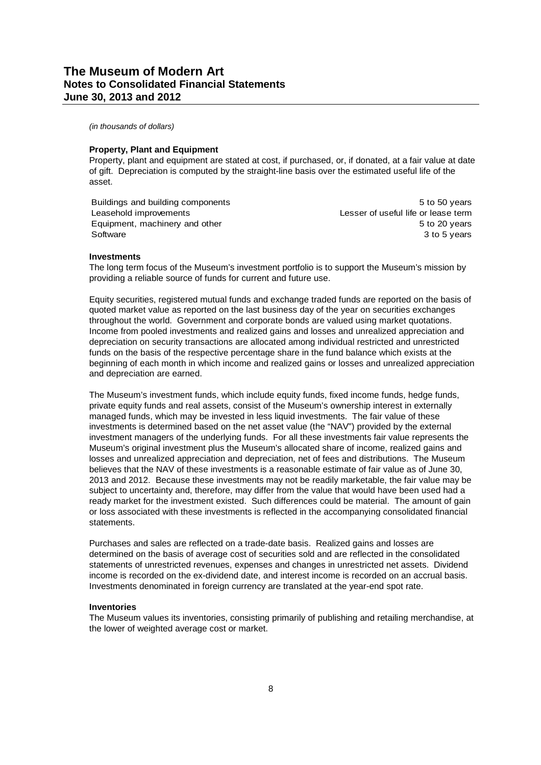*(in thousands of dollars)*

#### **Property, Plant and Equipment**

Property, plant and equipment are stated at cost, if purchased, or, if donated, at a fair value at date of gift. Depreciation is computed by the straight-line basis over the estimated useful life of the asset.

Buildings and building components 6 to 50 years 5 to 50 years Leasehold improvements Lesser of useful life or lease term Equipment, machinery and other 5 to 20 years Software 3 to 5 years 3 to 5 years 3 to 5 years 3 to 5 years 3 to 5 years 3 to 5 years 3 to 5 years 3 to 5 years 3 to 5 years 3 to 5 years 3 to 5 years 3 to 5 years 3 to 5 years 3 to 5 years 3 to 5 years 3 to 5 years 3 to

#### **Investments**

The long term focus of the Museum's investment portfolio is to support the Museum's mission by providing a reliable source of funds for current and future use.

Equity securities, registered mutual funds and exchange traded funds are reported on the basis of quoted market value as reported on the last business day of the year on securities exchanges throughout the world. Government and corporate bonds are valued using market quotations. Income from pooled investments and realized gains and losses and unrealized appreciation and depreciation on security transactions are allocated among individual restricted and unrestricted funds on the basis of the respective percentage share in the fund balance which exists at the beginning of each month in which income and realized gains or losses and unrealized appreciation and depreciation are earned.

The Museum's investment funds, which include equity funds, fixed income funds, hedge funds, private equity funds and real assets, consist of the Museum's ownership interest in externally managed funds, which may be invested in less liquid investments. The fair value of these investments is determined based on the net asset value (the "NAV") provided by the external investment managers of the underlying funds. For all these investments fair value represents the Museum's original investment plus the Museum's allocated share of income, realized gains and losses and unrealized appreciation and depreciation, net of fees and distributions. The Museum believes that the NAV of these investments is a reasonable estimate of fair value as of June 30, 2013 and 2012. Because these investments may not be readily marketable, the fair value may be subject to uncertainty and, therefore, may differ from the value that would have been used had a ready market for the investment existed. Such differences could be material. The amount of gain or loss associated with these investments is reflected in the accompanying consolidated financial statements.

Purchases and sales are reflected on a trade-date basis. Realized gains and losses are determined on the basis of average cost of securities sold and are reflected in the consolidated statements of unrestricted revenues, expenses and changes in unrestricted net assets. Dividend income is recorded on the ex-dividend date, and interest income is recorded on an accrual basis. Investments denominated in foreign currency are translated at the year-end spot rate.

#### **Inventories**

The Museum values its inventories, consisting primarily of publishing and retailing merchandise, at the lower of weighted average cost or market.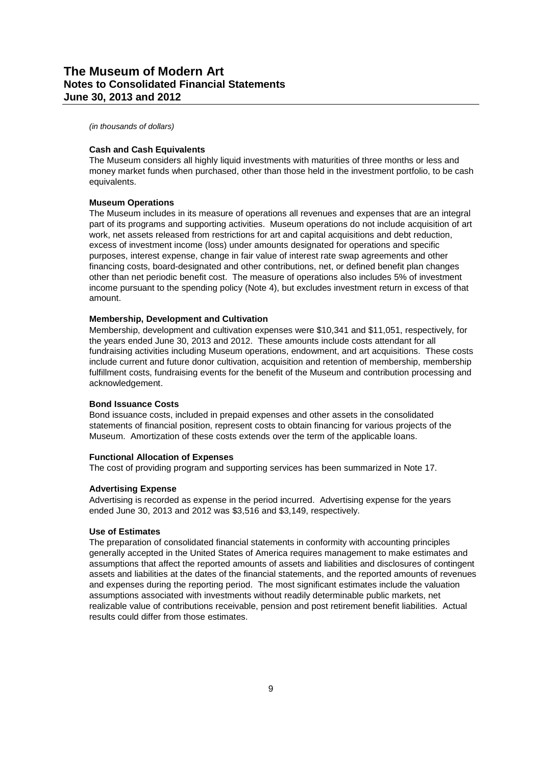*(in thousands of dollars)*

#### **Cash and Cash Equivalents**

The Museum considers all highly liquid investments with maturities of three months or less and money market funds when purchased, other than those held in the investment portfolio, to be cash equivalents.

#### **Museum Operations**

The Museum includes in its measure of operations all revenues and expenses that are an integral part of its programs and supporting activities. Museum operations do not include acquisition of art work, net assets released from restrictions for art and capital acquisitions and debt reduction, excess of investment income (loss) under amounts designated for operations and specific purposes, interest expense, change in fair value of interest rate swap agreements and other financing costs, board-designated and other contributions, net, or defined benefit plan changes other than net periodic benefit cost. The measure of operations also includes 5% of investment income pursuant to the spending policy (Note 4), but excludes investment return in excess of that amount.

### **Membership, Development and Cultivation**

Membership, development and cultivation expenses were \$10,341 and \$11,051, respectively, for the years ended June 30, 2013 and 2012. These amounts include costs attendant for all fundraising activities including Museum operations, endowment, and art acquisitions. These costs include current and future donor cultivation, acquisition and retention of membership, membership fulfillment costs, fundraising events for the benefit of the Museum and contribution processing and acknowledgement.

#### **Bond Issuance Costs**

Bond issuance costs, included in prepaid expenses and other assets in the consolidated statements of financial position, represent costs to obtain financing for various projects of the Museum. Amortization of these costs extends over the term of the applicable loans.

#### **Functional Allocation of Expenses**

The cost of providing program and supporting services has been summarized in Note 17.

### **Advertising Expense**

Advertising is recorded as expense in the period incurred. Advertising expense for the years ended June 30, 2013 and 2012 was \$3,516 and \$3,149, respectively.

### **Use of Estimates**

The preparation of consolidated financial statements in conformity with accounting principles generally accepted in the United States of America requires management to make estimates and assumptions that affect the reported amounts of assets and liabilities and disclosures of contingent assets and liabilities at the dates of the financial statements, and the reported amounts of revenues and expenses during the reporting period. The most significant estimates include the valuation assumptions associated with investments without readily determinable public markets, net realizable value of contributions receivable, pension and post retirement benefit liabilities. Actual results could differ from those estimates.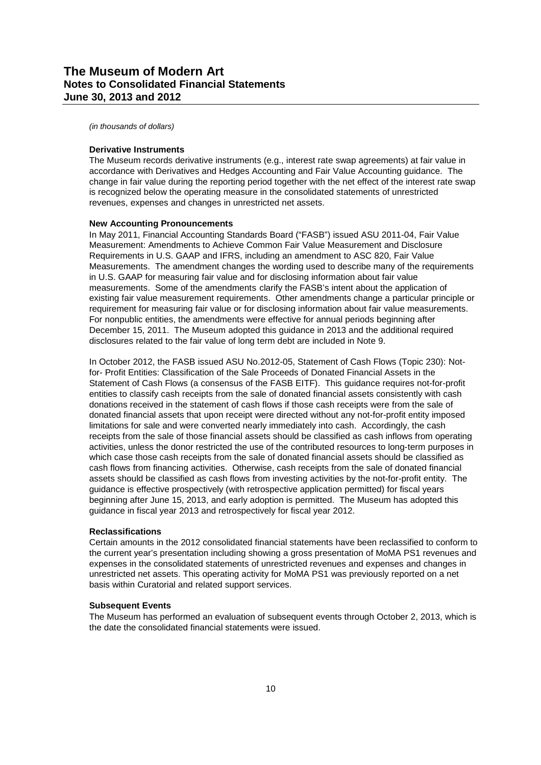*(in thousands of dollars)*

#### **Derivative Instruments**

The Museum records derivative instruments (e.g., interest rate swap agreements) at fair value in accordance with Derivatives and Hedges Accounting and Fair Value Accounting guidance. The change in fair value during the reporting period together with the net effect of the interest rate swap is recognized below the operating measure in the consolidated statements of unrestricted revenues, expenses and changes in unrestricted net assets.

### **New Accounting Pronouncements**

In May 2011, Financial Accounting Standards Board ("FASB") issued ASU 2011-04, Fair Value Measurement: Amendments to Achieve Common Fair Value Measurement and Disclosure Requirements in U.S. GAAP and IFRS, including an amendment to ASC 820, Fair Value Measurements. The amendment changes the wording used to describe many of the requirements in U.S. GAAP for measuring fair value and for disclosing information about fair value measurements. Some of the amendments clarify the FASB's intent about the application of existing fair value measurement requirements. Other amendments change a particular principle or requirement for measuring fair value or for disclosing information about fair value measurements. For nonpublic entities, the amendments were effective for annual periods beginning after December 15, 2011. The Museum adopted this guidance in 2013 and the additional required disclosures related to the fair value of long term debt are included in Note 9.

In October 2012, the FASB issued ASU No.2012-05, Statement of Cash Flows (Topic 230): Notfor- Profit Entities: Classification of the Sale Proceeds of Donated Financial Assets in the Statement of Cash Flows (a consensus of the FASB EITF). This guidance requires not-for-profit entities to classify cash receipts from the sale of donated financial assets consistently with cash donations received in the statement of cash flows if those cash receipts were from the sale of donated financial assets that upon receipt were directed without any not-for-profit entity imposed limitations for sale and were converted nearly immediately into cash. Accordingly, the cash receipts from the sale of those financial assets should be classified as cash inflows from operating activities, unless the donor restricted the use of the contributed resources to long-term purposes in which case those cash receipts from the sale of donated financial assets should be classified as cash flows from financing activities. Otherwise, cash receipts from the sale of donated financial assets should be classified as cash flows from investing activities by the not-for-profit entity. The guidance is effective prospectively (with retrospective application permitted) for fiscal years beginning after June 15, 2013, and early adoption is permitted. The Museum has adopted this guidance in fiscal year 2013 and retrospectively for fiscal year 2012.

#### **Reclassifications**

Certain amounts in the 2012 consolidated financial statements have been reclassified to conform to the current year's presentation including showing a gross presentation of MoMA PS1 revenues and expenses in the consolidated statements of unrestricted revenues and expenses and changes in unrestricted net assets. This operating activity for MoMA PS1 was previously reported on a net basis within Curatorial and related support services.

#### **Subsequent Events**

The Museum has performed an evaluation of subsequent events through October 2, 2013, which is the date the consolidated financial statements were issued.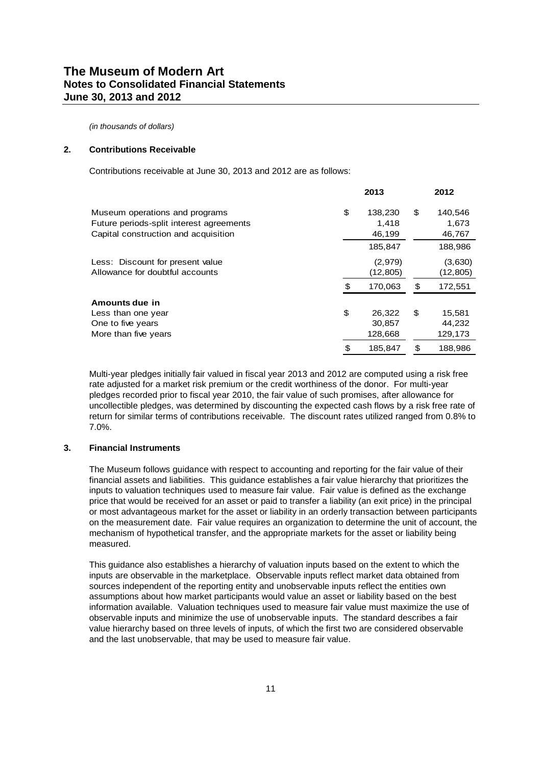*(in thousands of dollars)*

### **2. Contributions Receivable**

Contributions receivable at June 30, 2013 and 2012 are as follows:

|                                          |     | 2013      | 2012          |
|------------------------------------------|-----|-----------|---------------|
| Museum operations and programs           | \$  | 138,230   | \$<br>140,546 |
| Future periods-split interest agreements |     | 1,418     | 1,673         |
| Capital construction and acquisition     |     | 46,199    | 46,767        |
|                                          |     | 185,847   | 188,986       |
| Less: Discount for present value         |     | (2,979)   | (3,630)       |
| Allowance for doubtful accounts          |     | (12, 805) | (12,805)      |
|                                          | \$. | 170,063   | \$<br>172,551 |
| Amounts due in                           |     |           |               |
| Less than one year                       | \$  | 26.322    | \$<br>15,581  |
| One to five years                        |     | 30,857    | 44,232        |
| More than five years                     |     | 128,668   | 129,173       |
|                                          | \$  | 185.847   | \$<br>188,986 |

Multi-year pledges initially fair valued in fiscal year 2013 and 2012 are computed using a risk free rate adjusted for a market risk premium or the credit worthiness of the donor. For multi-year pledges recorded prior to fiscal year 2010, the fair value of such promises, after allowance for uncollectible pledges, was determined by discounting the expected cash flows by a risk free rate of return for similar terms of contributions receivable. The discount rates utilized ranged from 0.8% to 7.0%.

### **3. Financial Instruments**

The Museum follows guidance with respect to accounting and reporting for the fair value of their financial assets and liabilities. This guidance establishes a fair value hierarchy that prioritizes the inputs to valuation techniques used to measure fair value. Fair value is defined as the exchange price that would be received for an asset or paid to transfer a liability (an exit price) in the principal or most advantageous market for the asset or liability in an orderly transaction between participants on the measurement date. Fair value requires an organization to determine the unit of account, the mechanism of hypothetical transfer, and the appropriate markets for the asset or liability being measured.

This guidance also establishes a hierarchy of valuation inputs based on the extent to which the inputs are observable in the marketplace. Observable inputs reflect market data obtained from sources independent of the reporting entity and unobservable inputs reflect the entities own assumptions about how market participants would value an asset or liability based on the best information available. Valuation techniques used to measure fair value must maximize the use of observable inputs and minimize the use of unobservable inputs. The standard describes a fair value hierarchy based on three levels of inputs, of which the first two are considered observable and the last unobservable, that may be used to measure fair value.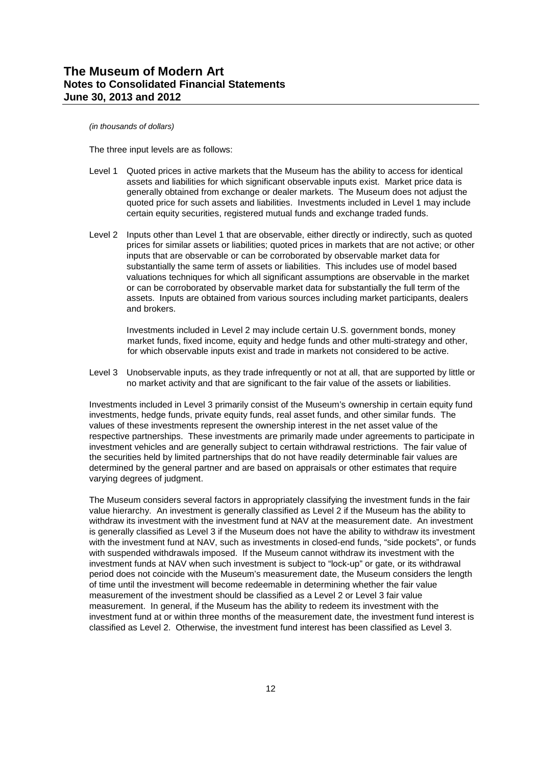*(in thousands of dollars)*

The three input levels are as follows:

- Level 1 Quoted prices in active markets that the Museum has the ability to access for identical assets and liabilities for which significant observable inputs exist. Market price data is generally obtained from exchange or dealer markets. The Museum does not adjust the quoted price for such assets and liabilities. Investments included in Level 1 may include certain equity securities, registered mutual funds and exchange traded funds.
- Level 2 Inputs other than Level 1 that are observable, either directly or indirectly, such as quoted prices for similar assets or liabilities; quoted prices in markets that are not active; or other inputs that are observable or can be corroborated by observable market data for substantially the same term of assets or liabilities. This includes use of model based valuations techniques for which all significant assumptions are observable in the market or can be corroborated by observable market data for substantially the full term of the assets. Inputs are obtained from various sources including market participants, dealers and brokers.

Investments included in Level 2 may include certain U.S. government bonds, money market funds, fixed income, equity and hedge funds and other multi-strategy and other, for which observable inputs exist and trade in markets not considered to be active.

Level 3 Unobservable inputs, as they trade infrequently or not at all, that are supported by little or no market activity and that are significant to the fair value of the assets or liabilities.

Investments included in Level 3 primarily consist of the Museum's ownership in certain equity fund investments, hedge funds, private equity funds, real asset funds, and other similar funds. The values of these investments represent the ownership interest in the net asset value of the respective partnerships. These investments are primarily made under agreements to participate in investment vehicles and are generally subject to certain withdrawal restrictions. The fair value of the securities held by limited partnerships that do not have readily determinable fair values are determined by the general partner and are based on appraisals or other estimates that require varying degrees of judgment.

The Museum considers several factors in appropriately classifying the investment funds in the fair value hierarchy. An investment is generally classified as Level 2 if the Museum has the ability to withdraw its investment with the investment fund at NAV at the measurement date. An investment is generally classified as Level 3 if the Museum does not have the ability to withdraw its investment with the investment fund at NAV, such as investments in closed-end funds, "side pockets", or funds with suspended withdrawals imposed. If the Museum cannot withdraw its investment with the investment funds at NAV when such investment is subject to "lock-up" or gate, or its withdrawal period does not coincide with the Museum's measurement date, the Museum considers the length of time until the investment will become redeemable in determining whether the fair value measurement of the investment should be classified as a Level 2 or Level 3 fair value measurement. In general, if the Museum has the ability to redeem its investment with the investment fund at or within three months of the measurement date, the investment fund interest is classified as Level 2. Otherwise, the investment fund interest has been classified as Level 3.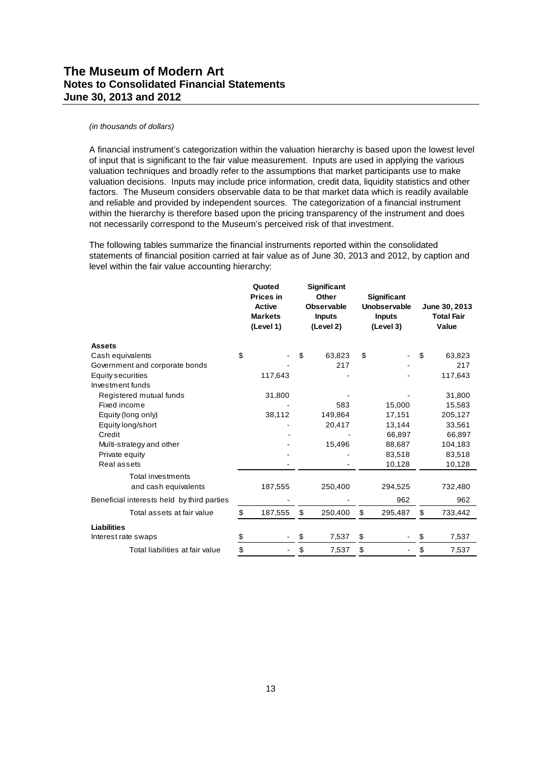#### *(in thousands of dollars)*

A financial instrument's categorization within the valuation hierarchy is based upon the lowest level of input that is significant to the fair value measurement. Inputs are used in applying the various valuation techniques and broadly refer to the assumptions that market participants use to make valuation decisions. Inputs may include price information, credit data, liquidity statistics and other factors. The Museum considers observable data to be that market data which is readily available and reliable and provided by independent sources. The categorization of a financial instrument within the hierarchy is therefore based upon the pricing transparency of the instrument and does not necessarily correspond to the Museum's perceived risk of that investment.

The following tables summarize the financial instruments reported within the consolidated statements of financial position carried at fair value as of June 30, 2013 and 2012, by caption and level within the fair value accounting hierarchy:

|                                            |    | Quoted<br><b>Prices in</b><br><b>Active</b><br><b>Markets</b><br>(Level 1) | <b>Significant</b><br>Other<br><b>Observable</b><br><b>Inputs</b><br>(Level 2) |         | <b>Significant</b><br>Unobservable<br><b>Inputs</b><br>(Level 3) | June 30, 2013<br><b>Total Fair</b><br>Value |         |  |
|--------------------------------------------|----|----------------------------------------------------------------------------|--------------------------------------------------------------------------------|---------|------------------------------------------------------------------|---------------------------------------------|---------|--|
| <b>Assets</b>                              |    |                                                                            |                                                                                |         |                                                                  |                                             |         |  |
| Cash equivalents                           | \$ |                                                                            | \$                                                                             | 63,823  | \$                                                               | \$                                          | 63,823  |  |
| Government and corporate bonds             |    |                                                                            |                                                                                | 217     |                                                                  |                                             | 217     |  |
| Equity securities                          |    | 117,643                                                                    |                                                                                |         |                                                                  |                                             | 117,643 |  |
| Investment funds                           |    |                                                                            |                                                                                |         |                                                                  |                                             |         |  |
| Registered mutual funds                    |    | 31,800                                                                     |                                                                                |         |                                                                  |                                             | 31,800  |  |
| Fixed income                               |    |                                                                            |                                                                                | 583     | 15,000                                                           |                                             | 15,583  |  |
| Equity (long only)                         |    | 38,112                                                                     |                                                                                | 149,864 | 17,151                                                           |                                             | 205,127 |  |
| Equity long/short                          |    |                                                                            |                                                                                | 20,417  | 13,144                                                           |                                             | 33,561  |  |
| Credit                                     |    |                                                                            |                                                                                |         | 66,897                                                           |                                             | 66,897  |  |
| Multi-strategy and other                   |    |                                                                            |                                                                                | 15,496  | 88,687                                                           |                                             | 104,183 |  |
| Private equity                             |    |                                                                            |                                                                                |         | 83,518                                                           |                                             | 83,518  |  |
| Real assets                                |    |                                                                            |                                                                                |         | 10,128                                                           |                                             | 10,128  |  |
| Total investments                          |    |                                                                            |                                                                                |         |                                                                  |                                             |         |  |
| and cash equivalents                       |    | 187,555                                                                    |                                                                                | 250,400 | 294,525                                                          |                                             | 732,480 |  |
| Beneficial interests held by third parties |    |                                                                            |                                                                                |         | 962                                                              |                                             | 962     |  |
| Total assets at fair value                 | \$ | 187,555                                                                    | \$                                                                             | 250,400 | \$<br>295,487                                                    | \$                                          | 733,442 |  |
| <b>Liabilities</b>                         |    |                                                                            |                                                                                |         |                                                                  |                                             |         |  |
| Interest rate swaps                        |    |                                                                            | \$                                                                             | 7,537   | \$                                                               | \$                                          | 7,537   |  |
| Total liabilities at fair value            | \$ |                                                                            | \$                                                                             | 7,537   | \$                                                               | \$                                          | 7,537   |  |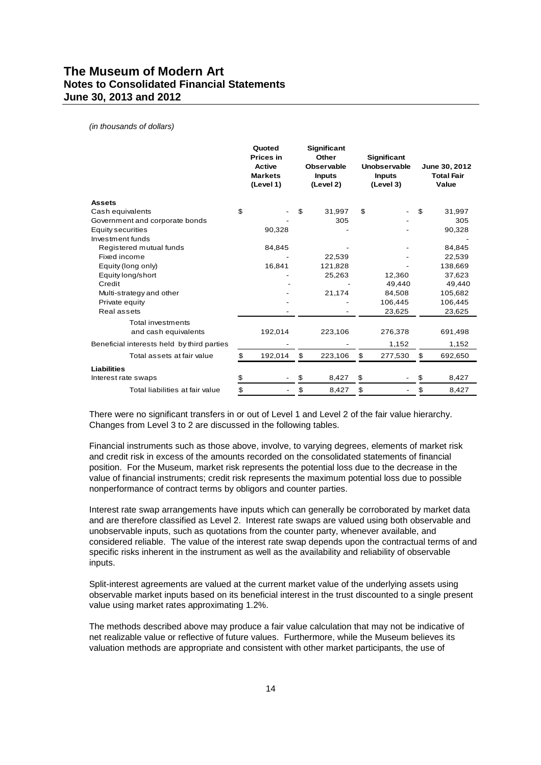*(in thousands of dollars)*

|                                            |    | Quoted<br>Prices in<br><b>Active</b><br><b>Markets</b><br>(Level 1) |    | <b>Significant</b><br>Other<br><b>Observable</b><br><b>Inputs</b><br>(Level 2) |    | <b>Significant</b><br><b>Unobservable</b><br><b>Inputs</b><br>(Level 3) | June 30, 2012<br><b>Total Fair</b><br>Value |         |  |
|--------------------------------------------|----|---------------------------------------------------------------------|----|--------------------------------------------------------------------------------|----|-------------------------------------------------------------------------|---------------------------------------------|---------|--|
| <b>Assets</b>                              |    |                                                                     |    |                                                                                |    |                                                                         |                                             |         |  |
| Cash equivalents                           | \$ |                                                                     | \$ | 31,997                                                                         | \$ |                                                                         | \$                                          | 31,997  |  |
| Government and corporate bonds             |    |                                                                     |    | 305                                                                            |    |                                                                         |                                             | 305     |  |
| Equity securities                          |    | 90,328                                                              |    |                                                                                |    |                                                                         |                                             | 90,328  |  |
| Investment funds                           |    |                                                                     |    |                                                                                |    |                                                                         |                                             |         |  |
| Registered mutual funds                    |    | 84,845                                                              |    |                                                                                |    |                                                                         |                                             | 84,845  |  |
| Fixed income                               |    |                                                                     |    | 22,539                                                                         |    |                                                                         |                                             | 22,539  |  |
| Equity (long only)                         |    | 16,841                                                              |    | 121,828                                                                        |    |                                                                         |                                             | 138,669 |  |
| Equity long/short                          |    |                                                                     |    | 25,263                                                                         |    | 12,360                                                                  |                                             | 37,623  |  |
| Credit                                     |    |                                                                     |    |                                                                                |    | 49,440                                                                  |                                             | 49,440  |  |
| Multi-strategy and other                   |    |                                                                     |    | 21,174                                                                         |    | 84,508                                                                  |                                             | 105,682 |  |
| Private equity                             |    |                                                                     |    |                                                                                |    | 106,445                                                                 |                                             | 106,445 |  |
| Real assets                                |    |                                                                     |    |                                                                                |    | 23,625                                                                  |                                             | 23,625  |  |
| Total investments                          |    |                                                                     |    |                                                                                |    |                                                                         |                                             |         |  |
| and cash equivalents                       |    | 192,014                                                             |    | 223,106                                                                        |    | 276,378                                                                 |                                             | 691,498 |  |
| Beneficial interests held by third parties |    |                                                                     |    |                                                                                |    | 1,152                                                                   |                                             | 1,152   |  |
| Total assets at fair value                 | \$ | 192,014                                                             | \$ | 223,106                                                                        | \$ | 277,530                                                                 | \$                                          | 692,650 |  |
| <b>Liabilities</b>                         |    |                                                                     |    |                                                                                |    |                                                                         |                                             |         |  |
| Interest rate swaps                        |    |                                                                     | \$ | 8,427                                                                          | \$ |                                                                         | \$                                          | 8,427   |  |
| Total liabilities at fair value            | \$ |                                                                     | \$ | 8,427                                                                          | \$ |                                                                         | \$                                          | 8,427   |  |

There were no significant transfers in or out of Level 1 and Level 2 of the fair value hierarchy. Changes from Level 3 to 2 are discussed in the following tables.

Financial instruments such as those above, involve, to varying degrees, elements of market risk and credit risk in excess of the amounts recorded on the consolidated statements of financial position. For the Museum, market risk represents the potential loss due to the decrease in the value of financial instruments; credit risk represents the maximum potential loss due to possible nonperformance of contract terms by obligors and counter parties.

Interest rate swap arrangements have inputs which can generally be corroborated by market data and are therefore classified as Level 2. Interest rate swaps are valued using both observable and unobservable inputs, such as quotations from the counter party, whenever available, and considered reliable. The value of the interest rate swap depends upon the contractual terms of and specific risks inherent in the instrument as well as the availability and reliability of observable inputs.

Split-interest agreements are valued at the current market value of the underlying assets using observable market inputs based on its beneficial interest in the trust discounted to a single present value using market rates approximating 1.2%.

The methods described above may produce a fair value calculation that may not be indicative of net realizable value or reflective of future values. Furthermore, while the Museum believes its valuation methods are appropriate and consistent with other market participants, the use of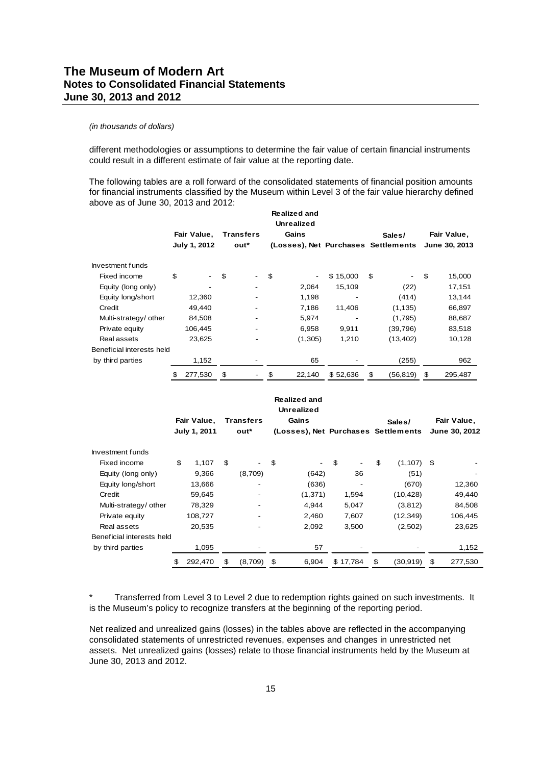#### *(in thousands of dollars)*

different methodologies or assumptions to determine the fair value of certain financial instruments could result in a different estimate of fair value at the reporting date.

The following tables are a roll forward of the consolidated statements of financial position amounts for financial instruments classified by the Museum within Level 3 of the fair value hierarchy defined above as of June 30, 2013 and 2012:

|                           |                                |    |                  |    | <b>Realized and</b><br><b>Unrealized</b> |          |    |           |    |             |                                     |  |               |  |
|---------------------------|--------------------------------|----|------------------|----|------------------------------------------|----------|----|-----------|----|-------------|-------------------------------------|--|---------------|--|
|                           | Fair Value,                    |    | <b>Transfers</b> |    | Gains                                    |          |    | Sales/    |    | Fair Value, |                                     |  |               |  |
|                           | July 1, 2012                   |    | out*             |    |                                          |          |    |           |    |             | (Losses), Net Purchases Settlements |  | June 30, 2013 |  |
| Investment funds          |                                |    |                  |    |                                          |          |    |           |    |             |                                     |  |               |  |
| Fixed income              | \$<br>$\overline{\phantom{a}}$ | \$ |                  | \$ |                                          | \$15,000 | \$ |           | \$ | 15,000      |                                     |  |               |  |
| Equity (long only)        |                                |    |                  |    | 2,064                                    | 15,109   |    | (22)      |    | 17,151      |                                     |  |               |  |
| Equity long/short         | 12,360                         |    | -                |    | 1,198                                    |          |    | (414)     |    | 13,144      |                                     |  |               |  |
| Credit                    | 49,440                         |    |                  |    | 7,186                                    | 11,406   |    | (1, 135)  |    | 66,897      |                                     |  |               |  |
| Multi-strategy/ other     | 84,508                         |    |                  |    | 5,974                                    |          |    | (1,795)   |    | 88,687      |                                     |  |               |  |
| Private equity            | 106,445                        |    |                  |    | 6,958                                    | 9,911    |    | (39,796)  |    | 83,518      |                                     |  |               |  |
| Real assets               | 23,625                         |    |                  |    | (1,305)                                  | 1,210    |    | (13, 402) |    | 10,128      |                                     |  |               |  |
| Beneficial interests held |                                |    |                  |    |                                          |          |    |           |    |             |                                     |  |               |  |
| by third parties          | 1,152                          |    |                  |    | 65                                       |          |    | (255)     |    | 962         |                                     |  |               |  |
|                           | \$<br>277,530                  | \$ |                  | \$ | 22,140                                   | \$52,636 | \$ | (56,819)  | \$ | 295,487     |                                     |  |               |  |

|                           |    |              |      |                          | <b>Realized and</b><br>Unrealized   |                                |                |     |               |
|---------------------------|----|--------------|------|--------------------------|-------------------------------------|--------------------------------|----------------|-----|---------------|
|                           |    | Fair Value,  |      | <b>Transfers</b>         | Gains                               |                                | Sales/         |     | Fair Value,   |
|                           |    | July 1, 2011 | out* |                          | (Losses), Net Purchases Settlements |                                |                |     | June 30, 2012 |
| Investment funds          |    |              |      |                          |                                     |                                |                |     |               |
| Fixed income              | \$ | 1,107        | \$.  | ٠                        | \$<br>$\sim$                        | \$<br>$\overline{\phantom{a}}$ | \$<br>(1, 107) | -\$ |               |
| Equity (long only)        |    | 9,366        |      | (8,709)                  | (642)                               | 36                             | (51)           |     |               |
| Equity long/short         |    | 13,666       |      | $\overline{\phantom{0}}$ | (636)                               |                                | (670)          |     | 12,360        |
| Credit                    |    | 59,645       |      | ٠                        | (1,371)                             | 1,594                          | (10, 428)      |     | 49,440        |
| Multi-strategy/ other     |    | 78,329       |      |                          | 4,944                               | 5,047                          | (3,812)        |     | 84,508        |
| Private equity            |    | 108,727      |      |                          | 2,460                               | 7,607                          | (12, 349)      |     | 106,445       |
| Real assets               |    | 20,535       |      | $\overline{\phantom{0}}$ | 2,092                               | 3,500                          | (2,502)        |     | 23,625        |
| Beneficial interests held |    |              |      |                          |                                     |                                |                |     |               |
| by third parties          |    | 1,095        |      |                          | 57                                  |                                |                |     | 1,152         |
|                           | S  | 292,470      | S    | (8,709)                  | \$<br>6,904                         | \$17,784                       | \$<br>(30,919) | \$  | 277,530       |

Transferred from Level 3 to Level 2 due to redemption rights gained on such investments. It is the Museum's policy to recognize transfers at the beginning of the reporting period.

Net realized and unrealized gains (losses) in the tables above are reflected in the accompanying consolidated statements of unrestricted revenues, expenses and changes in unrestricted net assets. Net unrealized gains (losses) relate to those financial instruments held by the Museum at June 30, 2013 and 2012.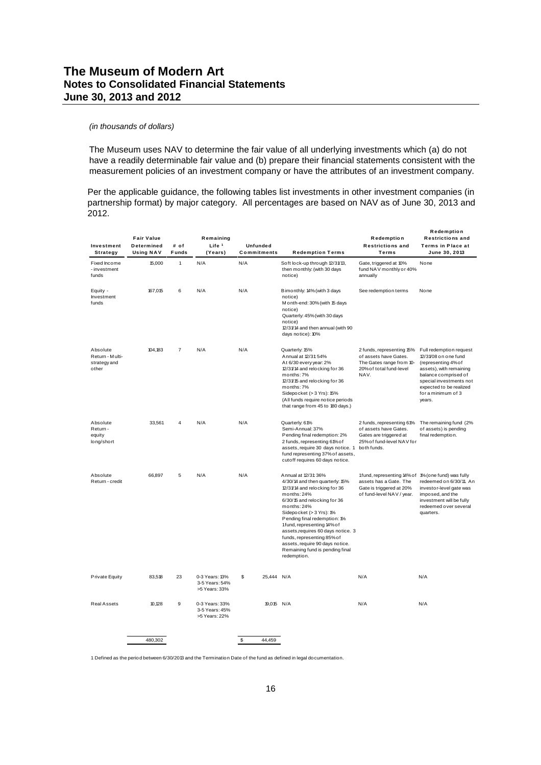#### *(in thousands of dollars)*

The Museum uses NAV to determine the fair value of all underlying investments which (a) do not have a readily determinable fair value and (b) prepare their financial statements consistent with the measurement policies of an investment company or have the attributes of an investment company.

Per the applicable guidance, the following tables list investments in other investment companies (in partnership format) by major category. All percentages are based on NAV as of June 30, 2013 and 2012.

| Investment<br><b>Strategy</b>                        | <b>Fair Value</b><br>Determined<br><b>Using NAV</b> | # of<br><b>Funds</b> | Remaining<br>Life <sup>1</sup><br>(Years)         | Unfunded<br>Commitments<br><b>Redemption Terms</b> |                                                                                                                                                                                                                                                                                                                                                                                                          | Redemption<br><b>Restrictions and</b><br>Terms                                                                                                  | Redemption<br><b>Restrictions and</b><br><b>Terms in Place at</b><br>June 30, 2013                                                                                                   |
|------------------------------------------------------|-----------------------------------------------------|----------------------|---------------------------------------------------|----------------------------------------------------|----------------------------------------------------------------------------------------------------------------------------------------------------------------------------------------------------------------------------------------------------------------------------------------------------------------------------------------------------------------------------------------------------------|-------------------------------------------------------------------------------------------------------------------------------------------------|--------------------------------------------------------------------------------------------------------------------------------------------------------------------------------------|
| Fixed Income<br>- investment<br>funds                | 15,000                                              | $\mathbf{1}$         | N/A                                               | N/A                                                | Soft lock-up through 12/31/13,<br>then monthly: (with 30 days<br>notice)                                                                                                                                                                                                                                                                                                                                 | Gate, triggered at 10%<br>fund NAV monthly or 40%<br>annually                                                                                   | None                                                                                                                                                                                 |
| Equity -<br>Investment<br>funds                      | 167,015                                             | 6                    | N/A                                               | N/A                                                | Bimonthly: 14% (with 3 days<br>notice)<br>Month-end: 30% (with 15 days<br>notice)<br>Quarterly: 45% (with 30 days<br>notice)<br>12/31/14 and then annual (with 90<br>days notice): 10%                                                                                                                                                                                                                   | See redemption terms                                                                                                                            | None                                                                                                                                                                                 |
| Absolute<br>Return - Multi-<br>strategy and<br>other | 104,183                                             | $\overline{7}$       | N/A                                               | N/A                                                | Quarterly: 15%<br>Annual at 12/31:54%<br>At 6/30 every year: 2%<br>12/31/14 and relocking for 36<br>months: 7%<br>12/31/15 and relocking for 36<br>months: 7%<br>Sidepocket (> 3 Yrs): 15%<br>(All funds require notice periods<br>that range from 45 to 180 days.)                                                                                                                                      | 2 funds, representing 15% Full redemption request<br>of assets have Gates.<br>The Gates range from 10-<br>20% of total fund-level<br>NAV.       | 12/31/08 on one fund<br>(representing 4% of<br>assets), with remaining<br>balance comprised of<br>special investments not<br>expected to be realized<br>for a minimum of 3<br>years. |
| Absolute<br>Return-<br>equity<br>long/short          | 33,561                                              | $\overline{4}$       | N/A                                               | N/A                                                | Quarterly: 61%<br>Semi-Annual: 37%<br>Pending final redemption: 2%<br>2 funds, representing 61% of<br>assets, require 30 days notice. 1<br>fund representing 37% of assets,<br>cutoff requires 60 days notice.                                                                                                                                                                                           | 2 funds, representing 61% The remaining fund (2%<br>of assets have Gates.<br>Gates are triggered at<br>25% of fund-level NAV for<br>both funds. | of assets) is pending<br>final redemption.                                                                                                                                           |
| Absolute<br>Return - credit                          | 66,897                                              | 5                    | N/A                                               | N/A                                                | Annual at 12/31:36%<br>4/30/14 and then quarterly: 15%<br>12/31/14 and relocking for 36<br>months: 24%<br>6/30/15 and relocking for 36<br>months: 24%<br>Sidepocket (> 3 Yrs): 1%<br>Pending final redemption: 1%<br>1fund, representing 14% of<br>assets, requires 60 days notice. 3<br>funds, representing 85% of<br>assets, require 90 days notice.<br>Remaining fund is pending final<br>redemption. | 1fund, representing 14% of 1% (one fund) was fully<br>assets has a Gate. The<br>Gate is triggered at 20%<br>of fund-level NAV / year.           | redeemed on 6/30/11. An<br>investor-level gate was<br>imposed, and the<br>investment will be fully<br>redeemed over several<br>quarters.                                             |
| Private Equity                                       | 83,518                                              | 23                   | 0-3 Years: 13%<br>3-5 Years: 54%<br>>5 Years: 33% | \$<br>25,444 N/A                                   |                                                                                                                                                                                                                                                                                                                                                                                                          | N/A                                                                                                                                             | N/A                                                                                                                                                                                  |
| <b>Real Assets</b>                                   | 10,128                                              | 9                    | 0-3 Years: 33%<br>3-5 Years: 45%<br>>5 Years: 22% |                                                    | 19,015 N/A                                                                                                                                                                                                                                                                                                                                                                                               | N/A                                                                                                                                             | N/A                                                                                                                                                                                  |
|                                                      | 480.302                                             |                      |                                                   | 44.459<br>\$                                       |                                                                                                                                                                                                                                                                                                                                                                                                          |                                                                                                                                                 |                                                                                                                                                                                      |
|                                                      |                                                     |                      |                                                   |                                                    |                                                                                                                                                                                                                                                                                                                                                                                                          |                                                                                                                                                 |                                                                                                                                                                                      |

1 Defined as the period between 6/30/2013 and the Termination Date of the fund as defined in legal documentation.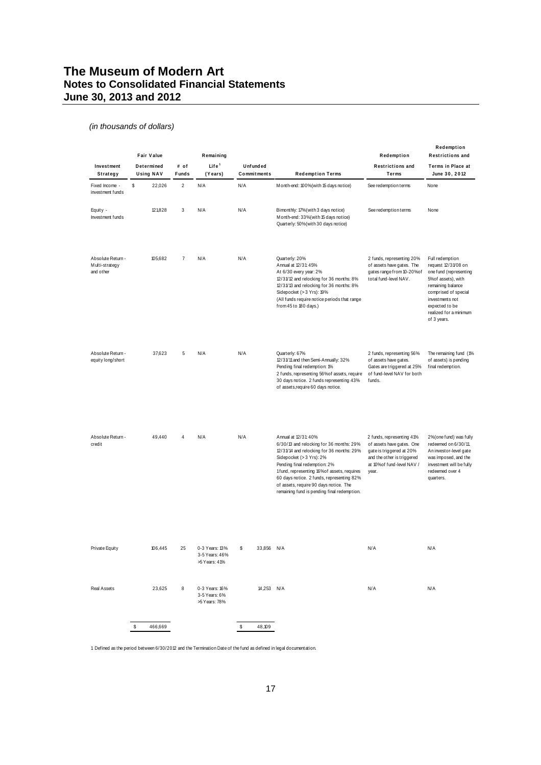*(in thousands of dollars)*

|                                                  | Fair Value                     |                | Remaining                                         |                                |            |                                                                                                                                                                                                                                                                                                                                                               | Redemption                                                                                                                                              | Redemption<br><b>Restrictions and</b>                                                                                                                                                                             |
|--------------------------------------------------|--------------------------------|----------------|---------------------------------------------------|--------------------------------|------------|---------------------------------------------------------------------------------------------------------------------------------------------------------------------------------------------------------------------------------------------------------------------------------------------------------------------------------------------------------------|---------------------------------------------------------------------------------------------------------------------------------------------------------|-------------------------------------------------------------------------------------------------------------------------------------------------------------------------------------------------------------------|
| Investment<br>Strategy                           | Determined<br><b>Using NAV</b> | # of<br>Funds  | Life $1$<br>(Years)                               | Unfunded<br><b>Commitments</b> |            | <b>Redemption Terms</b>                                                                                                                                                                                                                                                                                                                                       | <b>Restrictions and</b><br>Terms                                                                                                                        | Terms in Place at<br>June 30, 2012                                                                                                                                                                                |
| Fixed Income -<br>investment funds               | \$<br>22,026                   | $\overline{2}$ | N/A                                               | N/A                            |            | Month-end: 100%(with 15 days notice)                                                                                                                                                                                                                                                                                                                          | See redemption terms                                                                                                                                    | None                                                                                                                                                                                                              |
| Equity -<br>Investment funds                     | 121,828                        | 3              | N/A                                               | N/A                            |            | Bimonthly: 17% (with 3 days notice)<br>Month-end: 33%(with 15 days notice)<br>Quarterly: 50%(with 30 days notice)                                                                                                                                                                                                                                             | See redemption terms                                                                                                                                    | None                                                                                                                                                                                                              |
| Absolute Return -<br>Multi-strategy<br>and other | 105,682                        | 7              | N/A                                               | N/A                            |            | Quarterly: 20%<br>Annual at 12/31:45%<br>At 6/30 every year: 2%<br>12/31/12 and relocking for 36 months: 8%<br>12/31/13 and relocking for 36 months: 8%<br>Sidepocket (> 3 Yrs): 19%<br>(All funds require notice periods that range<br>from 45 to 180 days.)                                                                                                 | 2 funds, representing 20%<br>of assets have gates. The<br>gates range from 10-20% of<br>total fund-level NAV.                                           | Full redemption<br>request 12/31/08 on<br>one fund (representing<br>5%of assets), with<br>remaining balance<br>comprised of special<br>investments not<br>expected to be<br>realized for a minimum<br>of 3 years. |
| Absolute Return -<br>equity long/short           | 37,623                         | 5              | N/A                                               | N/A                            |            | Quarterly: 67%<br>12/31/11 and then Semi-Annually: 32%<br>Pending final redemption: 1%<br>2 funds, representing 56% of assets, require<br>30 days notice. 2 funds representing 43%<br>of assets, require 60 days notice.                                                                                                                                      | 2 funds, representing 56%<br>of assets have gates.<br>Gates are triggered at 25%<br>of fund-level NAV for both<br>funds.                                | The remaining fund (1%<br>of assets) is pending<br>final redemption.                                                                                                                                              |
| Absolute Return -<br>credit                      | 49,440                         | 4              | N/A                                               | N/A                            |            | Annual at 12/31:40%<br>6/30/13 and relocking for 36 months: 29%<br>12/31/14 and relocking for 36 months: 29%<br>Sidepocket (> 3 Yrs): 2%<br>Pending final redemption: 2%<br>1fund, representing 16% of assets, requires<br>60 days notice. 2 funds, representing 82%<br>of assets, require 90 days notice. The<br>remaining fund is pending final redemption. | 2 funds, representing 41%<br>of assets have gates. One<br>gate is triggered at 20%<br>and the other is triggered<br>at 10% of fund-level NAV /<br>year. | 2%(one fund) was fully<br>redeemed on 6/30/11.<br>An investor-level gate<br>was imposed, and the<br>investment will be fully<br>redeemed over 4<br>quarters.                                                      |
| Private Equity                                   | 106,445                        | 25             | 0-3 Years: 13%<br>3-5 Years: 46%<br>>5 Years: 41% | \$                             | 33,856     | N/A                                                                                                                                                                                                                                                                                                                                                           | N/A                                                                                                                                                     | N/A                                                                                                                                                                                                               |
| <b>Real Assets</b>                               | 23,625                         | 8              | 0-3 Years: 16%<br>3-5 Years: 6%<br>>5 Years: 78%  |                                | 14,253 N/A |                                                                                                                                                                                                                                                                                                                                                               | N/A                                                                                                                                                     | N/A                                                                                                                                                                                                               |
|                                                  | \$<br>466,669                  |                |                                                   | \$                             | 48,109     |                                                                                                                                                                                                                                                                                                                                                               |                                                                                                                                                         |                                                                                                                                                                                                                   |

1 Defined as the period between 6/30/2012 and the Termination Date of the fund as defined in legal documentation.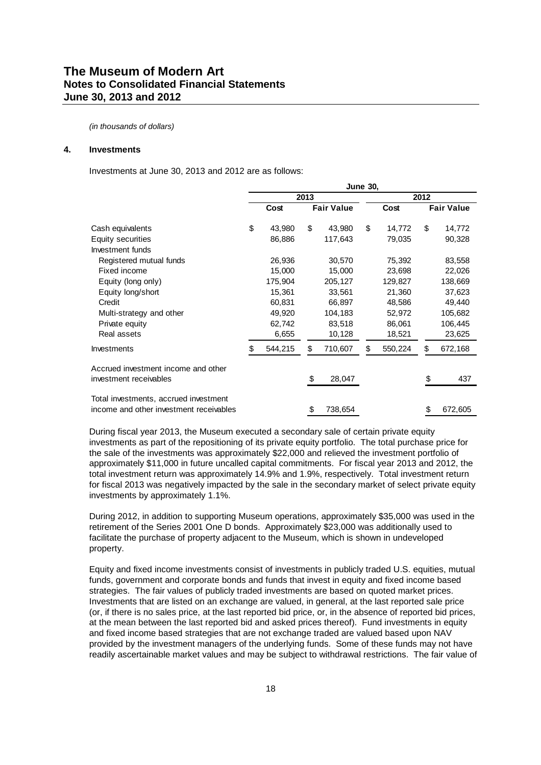*(in thousands of dollars)*

### **4. Investments**

Investments at June 30, 2013 and 2012 are as follows:

|                                         |    |         |      |                   | <b>June 30,</b> |         |      |                   |
|-----------------------------------------|----|---------|------|-------------------|-----------------|---------|------|-------------------|
|                                         |    |         | 2013 |                   |                 |         | 2012 |                   |
|                                         |    | Cost    |      | <b>Fair Value</b> |                 | Cost    |      | <b>Fair Value</b> |
| Cash equivalents                        | \$ | 43,980  | \$   | 43,980            | \$              | 14,772  | \$   | 14,772            |
| Equity securities                       |    | 86,886  |      | 117,643           |                 | 79,035  |      | 90,328            |
| Investment funds                        |    |         |      |                   |                 |         |      |                   |
| Registered mutual funds                 |    | 26,936  |      | 30,570            |                 | 75,392  |      | 83,558            |
| Fixed income                            |    | 15,000  |      | 15,000            |                 | 23,698  |      | 22,026            |
| Equity (long only)                      |    | 175,904 |      | 205,127           |                 | 129,827 |      | 138,669           |
| Equity long/short                       |    | 15,361  |      | 33,561            |                 | 21,360  |      | 37,623            |
| Credit                                  |    | 60,831  |      | 66,897            |                 | 48,586  |      | 49,440            |
| Multi-strategy and other                |    | 49,920  |      | 104,183           |                 | 52,972  |      | 105,682           |
| Private equity                          |    | 62,742  |      | 83,518            |                 | 86,061  |      | 106,445           |
| Real assets                             |    | 6,655   |      | 10,128            |                 | 18,521  |      | 23,625            |
| Investments                             | S  | 544,215 | \$   | 710,607           | S               | 550,224 | \$   | 672,168           |
| Accrued investment income and other     |    |         |      |                   |                 |         |      |                   |
| investment receivables                  |    |         | \$   | 28,047            |                 |         | \$   | 437               |
| Total investments, accrued investment   |    |         |      |                   |                 |         |      |                   |
| income and other investment receivables |    |         | \$   | 738,654           |                 |         | \$   | 672,605           |

During fiscal year 2013, the Museum executed a secondary sale of certain private equity investments as part of the repositioning of its private equity portfolio. The total purchase price for the sale of the investments was approximately \$22,000 and relieved the investment portfolio of approximately \$11,000 in future uncalled capital commitments. For fiscal year 2013 and 2012, the total investment return was approximately 14.9% and 1.9%, respectively. Total investment return for fiscal 2013 was negatively impacted by the sale in the secondary market of select private equity investments by approximately 1.1%.

During 2012, in addition to supporting Museum operations, approximately \$35,000 was used in the retirement of the Series 2001 One D bonds. Approximately \$23,000 was additionally used to facilitate the purchase of property adjacent to the Museum, which is shown in undeveloped property.

Equity and fixed income investments consist of investments in publicly traded U.S. equities, mutual funds, government and corporate bonds and funds that invest in equity and fixed income based strategies. The fair values of publicly traded investments are based on quoted market prices. Investments that are listed on an exchange are valued, in general, at the last reported sale price (or, if there is no sales price, at the last reported bid price, or, in the absence of reported bid prices, at the mean between the last reported bid and asked prices thereof). Fund investments in equity and fixed income based strategies that are not exchange traded are valued based upon NAV provided by the investment managers of the underlying funds. Some of these funds may not have readily ascertainable market values and may be subject to withdrawal restrictions. The fair value of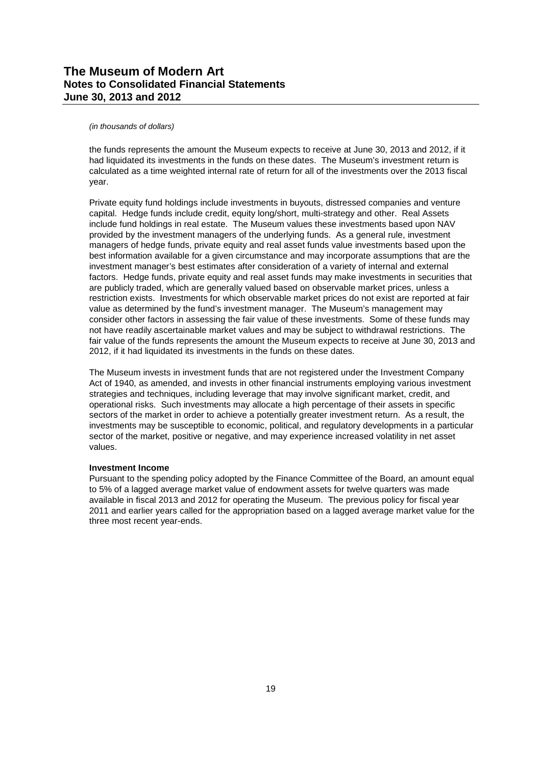#### *(in thousands of dollars)*

the funds represents the amount the Museum expects to receive at June 30, 2013 and 2012, if it had liquidated its investments in the funds on these dates. The Museum's investment return is calculated as a time weighted internal rate of return for all of the investments over the 2013 fiscal year.

Private equity fund holdings include investments in buyouts, distressed companies and venture capital. Hedge funds include credit, equity long/short, multi-strategy and other. Real Assets include fund holdings in real estate. The Museum values these investments based upon NAV provided by the investment managers of the underlying funds. As a general rule, investment managers of hedge funds, private equity and real asset funds value investments based upon the best information available for a given circumstance and may incorporate assumptions that are the investment manager's best estimates after consideration of a variety of internal and external factors. Hedge funds, private equity and real asset funds may make investments in securities that are publicly traded, which are generally valued based on observable market prices, unless a restriction exists. Investments for which observable market prices do not exist are reported at fair value as determined by the fund's investment manager. The Museum's management may consider other factors in assessing the fair value of these investments. Some of these funds may not have readily ascertainable market values and may be subject to withdrawal restrictions. The fair value of the funds represents the amount the Museum expects to receive at June 30, 2013 and 2012, if it had liquidated its investments in the funds on these dates.

The Museum invests in investment funds that are not registered under the Investment Company Act of 1940, as amended, and invests in other financial instruments employing various investment strategies and techniques, including leverage that may involve significant market, credit, and operational risks. Such investments may allocate a high percentage of their assets in specific sectors of the market in order to achieve a potentially greater investment return. As a result, the investments may be susceptible to economic, political, and regulatory developments in a particular sector of the market, positive or negative, and may experience increased volatility in net asset values.

#### **Investment Income**

Pursuant to the spending policy adopted by the Finance Committee of the Board, an amount equal to 5% of a lagged average market value of endowment assets for twelve quarters was made available in fiscal 2013 and 2012 for operating the Museum. The previous policy for fiscal year 2011 and earlier years called for the appropriation based on a lagged average market value for the three most recent year-ends.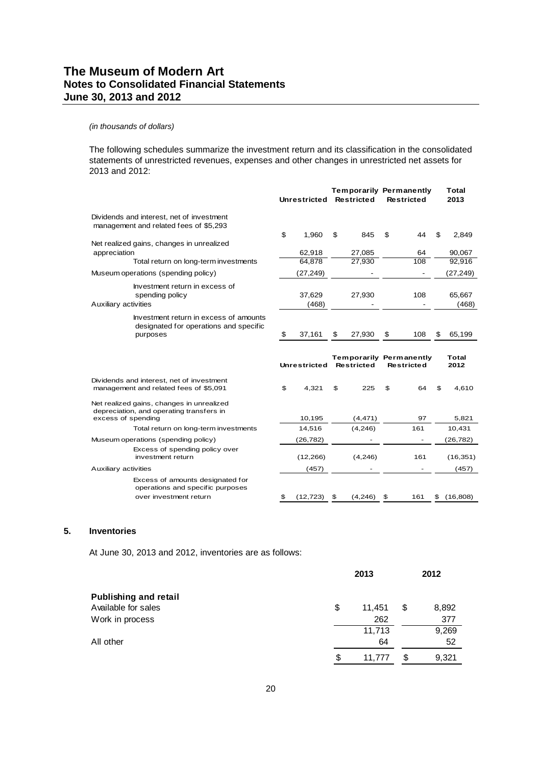### *(in thousands of dollars)*

The following schedules summarize the investment return and its classification in the consolidated statements of unrestricted revenues, expenses and other changes in unrestricted net assets for 2013 and 2012:

|                                                                                              | Unrestricted        | <b>Temporarily Permanently</b><br><b>Restricted</b> | <b>Restricted</b> |    | <b>Total</b><br>2013 |
|----------------------------------------------------------------------------------------------|---------------------|-----------------------------------------------------|-------------------|----|----------------------|
| Dividends and interest, net of investment<br>management and related fees of \$5,293          |                     |                                                     |                   |    |                      |
| Net realized gains, changes in unrealized                                                    | \$<br>1,960         | \$<br>845                                           | \$<br>44          | \$ | 2,849                |
| appreciation<br>Total return on long-term investments                                        | 62,918<br>64,878    | 27,085<br>27,930                                    | 64<br>108         |    | 90,067<br>92,916     |
| Museum operations (spending policy)                                                          | (27, 249)           |                                                     |                   |    | (27, 249)            |
| Investment return in excess of<br>spending policy<br>Auxiliary activities                    | 37,629<br>(468)     | 27,930                                              | 108               |    | 65,667<br>(468)      |
| Investment return in excess of amounts<br>designated for operations and specific<br>purposes | \$<br>37,161        | \$<br>27,930                                        | \$<br>108         | S  | 65,199               |
|                                                                                              |                     |                                                     |                   |    |                      |
|                                                                                              | <b>Unrestricted</b> | <b>Temporarily Permanently</b><br><b>Restricted</b> | <b>Restricted</b> |    | Total<br>2012        |
| Dividends and interest, net of investment<br>management and related fees of \$5,091          | \$<br>4,321         | \$<br>225                                           | \$<br>64          | \$ | 4,610                |
| Net realized gains, changes in unrealized<br>depreciation, and operating transfers in        |                     |                                                     |                   |    |                      |
| excess of spending                                                                           | 10,195              | (4, 471)                                            | 97                |    | 5,821                |
| Total return on long-term investments                                                        | 14,516              | (4, 246)                                            | 161               |    | 10,431               |
| Museum operations (spending policy)                                                          | (26, 782)           |                                                     |                   |    | (26, 782)            |
| Excess of spending policy over<br>investment return                                          | (12, 266)           | (4,246)                                             | 161               |    | (16, 351)            |
| Auxiliary activities                                                                         | (457)               |                                                     |                   |    | (457)                |
| Excess of amounts designated for<br>operations and specific purposes                         |                     |                                                     |                   |    |                      |

#### **5. Inventories**

At June 30, 2013 and 2012, inventories are as follows:

|                              |    | 2013   | 2012        |
|------------------------------|----|--------|-------------|
| <b>Publishing and retail</b> |    |        |             |
| Available for sales          | S  | 11,451 | \$<br>8,892 |
| Work in process              |    | 262    | 377         |
|                              |    | 11,713 | 9,269       |
| All other                    |    | 64     | 52          |
|                              | \$ | 11,777 | \$<br>9.321 |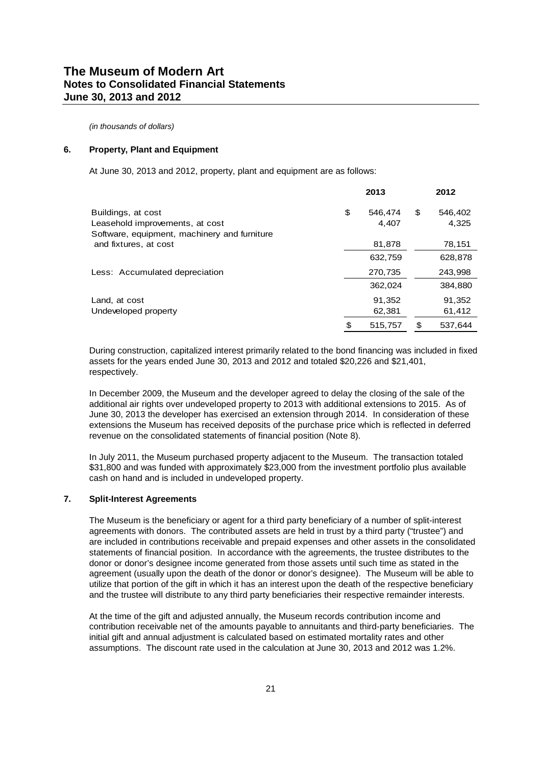*(in thousands of dollars)*

### **6. Property, Plant and Equipment**

At June 30, 2013 and 2012, property, plant and equipment are as follows:

|                                              | 2013          |    | 2012    |
|----------------------------------------------|---------------|----|---------|
| Buildings, at cost                           | \$<br>546.474 | \$ | 546,402 |
| Leasehold improvements, at cost              | 4.407         |    | 4,325   |
| Software, equipment, machinery and furniture |               |    |         |
| and fixtures, at cost                        | 81,878        |    | 78,151  |
|                                              | 632,759       |    | 628,878 |
| Less: Accumulated depreciation               | 270,735       |    | 243,998 |
|                                              | 362,024       |    | 384,880 |
| Land, at cost                                | 91,352        |    | 91,352  |
| Undeveloped property                         | 62.381        |    | 61,412  |
|                                              | \$<br>515,757 | S  | 537.644 |

During construction, capitalized interest primarily related to the bond financing was included in fixed assets for the years ended June 30, 2013 and 2012 and totaled \$20,226 and \$21,401, respectively.

In December 2009, the Museum and the developer agreed to delay the closing of the sale of the additional air rights over undeveloped property to 2013 with additional extensions to 2015. As of June 30, 2013 the developer has exercised an extension through 2014. In consideration of these extensions the Museum has received deposits of the purchase price which is reflected in deferred revenue on the consolidated statements of financial position (Note 8).

In July 2011, the Museum purchased property adjacent to the Museum. The transaction totaled \$31,800 and was funded with approximately \$23,000 from the investment portfolio plus available cash on hand and is included in undeveloped property.

#### **7. Split-Interest Agreements**

The Museum is the beneficiary or agent for a third party beneficiary of a number of split-interest agreements with donors. The contributed assets are held in trust by a third party ("trustee") and are included in contributions receivable and prepaid expenses and other assets in the consolidated statements of financial position. In accordance with the agreements, the trustee distributes to the donor or donor's designee income generated from those assets until such time as stated in the agreement (usually upon the death of the donor or donor's designee). The Museum will be able to utilize that portion of the gift in which it has an interest upon the death of the respective beneficiary and the trustee will distribute to any third party beneficiaries their respective remainder interests.

At the time of the gift and adjusted annually, the Museum records contribution income and contribution receivable net of the amounts payable to annuitants and third-party beneficiaries. The initial gift and annual adjustment is calculated based on estimated mortality rates and other assumptions. The discount rate used in the calculation at June 30, 2013 and 2012 was 1.2%.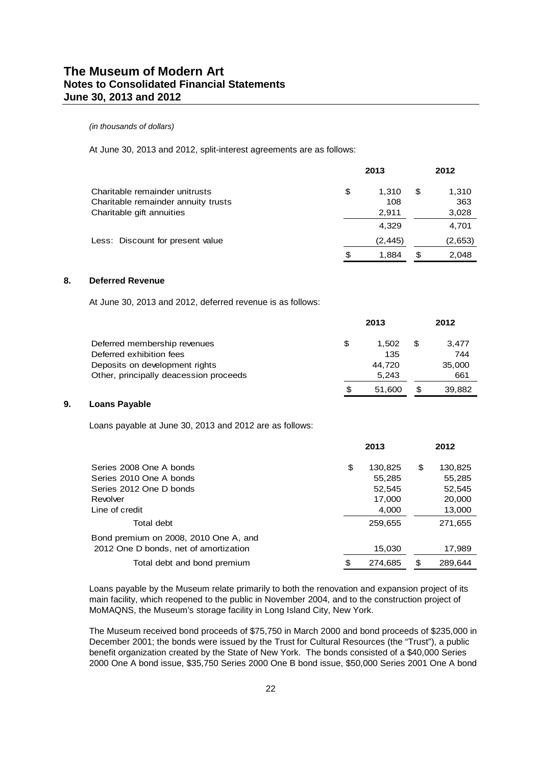#### *(in thousands of dollars)*

At June 30, 2013 and 2012, split-interest agreements are as follows:

|                                     | 2013        |    | 2012    |
|-------------------------------------|-------------|----|---------|
| Charitable remainder unitrusts      | \$<br>1.310 | \$ | 1,310   |
| Charitable remainder annuity trusts | 108         |    | 363     |
| Charitable gift annuities           | 2.911       |    | 3,028   |
|                                     | 4.329       |    | 4,701   |
| Less: Discount for present value    | (2, 445)    |    | (2,653) |
|                                     | \$<br>1.884 | S  | 2.048   |

#### **8. Deferred Revenue**

At June 30, 2013 and 2012, deferred revenue is as follows:

|                                        |     | 2013   | 2012   |
|----------------------------------------|-----|--------|--------|
| Deferred membership revenues           | \$  | 1.502  | 3.477  |
| Deferred exhibition fees               |     | 135    | 744    |
| Deposits on development rights         |     | 44.720 | 35,000 |
| Other, principally deacession proceeds |     | 5.243  | 661    |
|                                        | \$. | 51.600 | 39,882 |

### **9. Loans Payable**

Loans payable at June 30, 2013 and 2012 are as follows:

|                                       | 2013          |    | 2012    |
|---------------------------------------|---------------|----|---------|
| Series 2008 One A bonds               | \$<br>130,825 | \$ | 130,825 |
| Series 2010 One A bonds               | 55,285        |    | 55,285  |
| Series 2012 One D bonds               | 52,545        |    | 52,545  |
| Revolver                              | 17,000        |    | 20,000  |
| Line of credit                        | 4,000         |    | 13,000  |
| Total debt                            | 259,655       |    | 271,655 |
| Bond premium on 2008, 2010 One A, and |               |    |         |
| 2012 One D bonds, net of amortization | 15,030        |    | 17,989  |
| Total debt and bond premium           | \$<br>274.685 | S  | 289,644 |

Loans payable by the Museum relate primarily to both the renovation and expansion project of its main facility, which reopened to the public in November 2004, and to the construction project of MoMAQNS, the Museum's storage facility in Long Island City, New York.

The Museum received bond proceeds of \$75,750 in March 2000 and bond proceeds of \$235,000 in December 2001; the bonds were issued by the Trust for Cultural Resources (the "Trust"), a public benefit organization created by the State of New York. The bonds consisted of a \$40,000 Series 2000 One A bond issue, \$35,750 Series 2000 One B bond issue, \$50,000 Series 2001 One A bond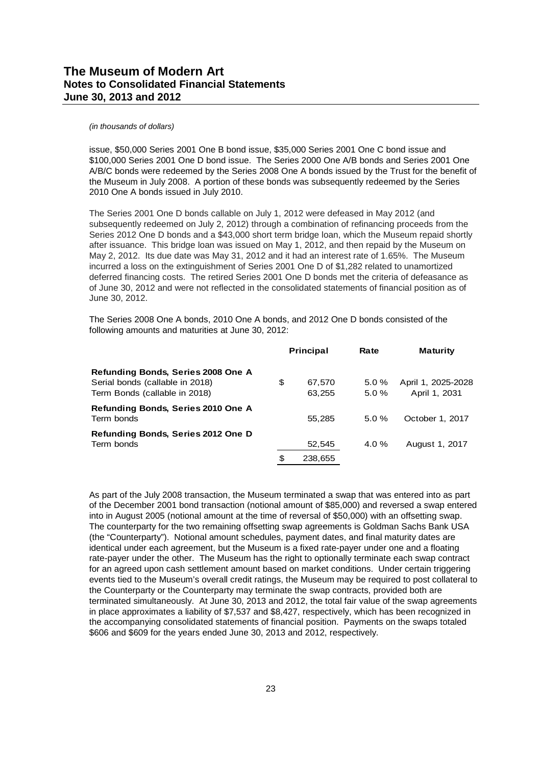#### *(in thousands of dollars)*

issue, \$50,000 Series 2001 One B bond issue, \$35,000 Series 2001 One C bond issue and \$100,000 Series 2001 One D bond issue. The Series 2000 One A/B bonds and Series 2001 One A/B/C bonds were redeemed by the Series 2008 One A bonds issued by the Trust for the benefit of the Museum in July 2008. A portion of these bonds was subsequently redeemed by the Series 2010 One A bonds issued in July 2010.

The Series 2001 One D bonds callable on July 1, 2012 were defeased in May 2012 (and subsequently redeemed on July 2, 2012) through a combination of refinancing proceeds from the Series 2012 One D bonds and a \$43,000 short term bridge loan, which the Museum repaid shortly after issuance. This bridge loan was issued on May 1, 2012, and then repaid by the Museum on May 2, 2012. Its due date was May 31, 2012 and it had an interest rate of 1.65%. The Museum incurred a loss on the extinguishment of Series 2001 One D of \$1,282 related to unamortized deferred financing costs. The retired Series 2001 One D bonds met the criteria of defeasance as of June 30, 2012 and were not reflected in the consolidated statements of financial position as of June 30, 2012.

The Series 2008 One A bonds, 2010 One A bonds, and 2012 One D bonds consisted of the following amounts and maturities at June 30, 2012:

|                                                                                          | <b>Principal</b> | Rate             | <b>Maturity</b>                  |
|------------------------------------------------------------------------------------------|------------------|------------------|----------------------------------|
| <b>Refunding Bonds, Series 2008 One A</b><br>Serial bonds (callable in 2018)             | \$<br>67,570     | $5.0 \%$         | April 1, 2025-2028               |
| Term Bonds (callable in 2018)<br><b>Refunding Bonds, Series 2010 One A</b><br>Term bonds | 63,255<br>55.285 | $5.0 \%$<br>5.0% | April 1, 2031<br>October 1, 2017 |
| Refunding Bonds, Series 2012 One D<br>Term bonds                                         | 52,545           | 4.0 %            | August 1, 2017                   |
|                                                                                          | \$<br>238.655    |                  |                                  |

As part of the July 2008 transaction, the Museum terminated a swap that was entered into as part of the December 2001 bond transaction (notional amount of \$85,000) and reversed a swap entered into in August 2005 (notional amount at the time of reversal of \$50,000) with an offsetting swap. The counterparty for the two remaining offsetting swap agreements is Goldman Sachs Bank USA (the "Counterparty"). Notional amount schedules, payment dates, and final maturity dates are identical under each agreement, but the Museum is a fixed rate-payer under one and a floating rate-payer under the other. The Museum has the right to optionally terminate each swap contract for an agreed upon cash settlement amount based on market conditions. Under certain triggering events tied to the Museum's overall credit ratings, the Museum may be required to post collateral to the Counterparty or the Counterparty may terminate the swap contracts, provided both are terminated simultaneously. At June 30, 2013 and 2012, the total fair value of the swap agreements in place approximates a liability of \$7,537 and \$8,427, respectively, which has been recognized in the accompanying consolidated statements of financial position. Payments on the swaps totaled \$606 and \$609 for the years ended June 30, 2013 and 2012, respectively.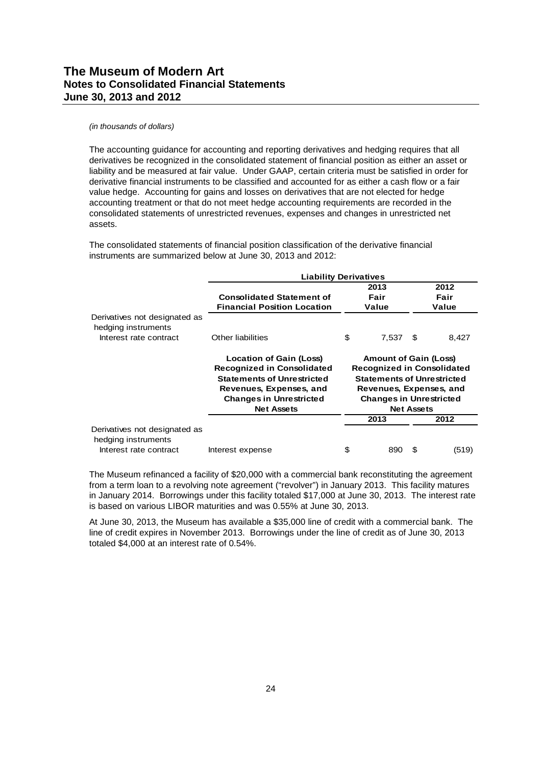#### *(in thousands of dollars)*

The accounting guidance for accounting and reporting derivatives and hedging requires that all derivatives be recognized in the consolidated statement of financial position as either an asset or liability and be measured at fair value. Under GAAP, certain criteria must be satisfied in order for derivative financial instruments to be classified and accounted for as either a cash flow or a fair value hedge. Accounting for gains and losses on derivatives that are not elected for hedge accounting treatment or that do not meet hedge accounting requirements are recorded in the consolidated statements of unrestricted revenues, expenses and changes in unrestricted net assets.

The consolidated statements of financial position classification of the derivative financial instruments are summarized below at June 30, 2013 and 2012:

|                                                                                | <b>Liability Derivatives</b>                                                                                                                                                        |                                                                                                                                                     |      |                                   |  |
|--------------------------------------------------------------------------------|-------------------------------------------------------------------------------------------------------------------------------------------------------------------------------------|-----------------------------------------------------------------------------------------------------------------------------------------------------|------|-----------------------------------|--|
|                                                                                |                                                                                                                                                                                     | 2013                                                                                                                                                | 2012 |                                   |  |
|                                                                                | <b>Consolidated Statement of</b>                                                                                                                                                    | Fair                                                                                                                                                |      | Fair                              |  |
|                                                                                | <b>Financial Position Location</b>                                                                                                                                                  | Value                                                                                                                                               |      | Value                             |  |
| Derivatives not designated as<br>hedging instruments                           |                                                                                                                                                                                     |                                                                                                                                                     |      |                                   |  |
| Interest rate contract                                                         | Other liabilities                                                                                                                                                                   | \$<br>7.537                                                                                                                                         | -S   | 8,427                             |  |
|                                                                                | Location of Gain (Loss)<br><b>Recognized in Consolidated</b><br><b>Statements of Unrestricted</b><br>Revenues, Expenses, and<br><b>Changes in Unrestricted</b><br><b>Net Assets</b> | <b>Amount of Gain (Loss)</b><br><b>Statements of Unrestricted</b><br>Revenues, Expenses, and<br><b>Changes in Unrestricted</b><br><b>Net Assets</b> |      | <b>Recognized in Consolidated</b> |  |
|                                                                                |                                                                                                                                                                                     | 2013                                                                                                                                                |      | 2012                              |  |
| Derivatives not designated as<br>hedging instruments<br>Interest rate contract | Interest expense                                                                                                                                                                    | \$<br>890                                                                                                                                           | S    | (519)                             |  |

The Museum refinanced a facility of \$20,000 with a commercial bank reconstituting the agreement from a term loan to a revolving note agreement ("revolver") in January 2013. This facility matures in January 2014. Borrowings under this facility totaled \$17,000 at June 30, 2013. The interest rate is based on various LIBOR maturities and was 0.55% at June 30, 2013.

At June 30, 2013, the Museum has available a \$35,000 line of credit with a commercial bank. The line of credit expires in November 2013. Borrowings under the line of credit as of June 30, 2013 totaled \$4,000 at an interest rate of 0.54%.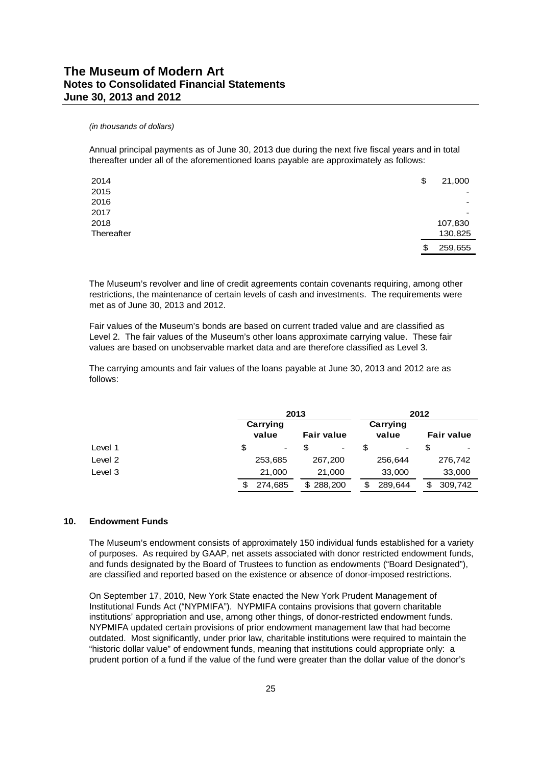*(in thousands of dollars)*

Annual principal payments as of June 30, 2013 due during the next five fiscal years and in total thereafter under all of the aforementioned loans payable are approximately as follows:

| 2014       | 21,000<br>\$ |
|------------|--------------|
| 2015       | -            |
| 2016       | -            |
| 2017       | -            |
| 2018       | 107,830      |
| Thereafter | 130,825      |
|            | 259,655<br>S |

The Museum's revolver and line of credit agreements contain covenants requiring, among other restrictions, the maintenance of certain levels of cash and investments. The requirements were met as of June 30, 2013 and 2012.

Fair values of the Museum's bonds are based on current traded value and are classified as Level 2. The fair values of the Museum's other loans approximate carrying value. These fair values are based on unobservable market data and are therefore classified as Level 3.

The carrying amounts and fair values of the loans payable at June 30, 2013 and 2012 are as follows:

|         |     | 2013<br>Carrying<br>value |                   |         |                   | 2012 |                   |
|---------|-----|---------------------------|-------------------|---------|-------------------|------|-------------------|
|         |     |                           | <b>Fair value</b> |         | Carrying<br>value |      | <b>Fair value</b> |
| Level 1 | \$  | $\sim$                    | \$                | ٠       | ۰                 | \$   |                   |
| Level 2 |     | 253,685                   |                   | 267,200 | 256.644           |      | 276,742           |
| Level 3 |     | 21,000                    |                   | 21,000  | 33,000            |      | 33,000            |
|         | \$. | 274,685                   | \$288,200         |         | \$<br>289.644     | \$   | 309,742           |

### **10. Endowment Funds**

The Museum's endowment consists of approximately 150 individual funds established for a variety of purposes. As required by GAAP, net assets associated with donor restricted endowment funds, and funds designated by the Board of Trustees to function as endowments ("Board Designated"), are classified and reported based on the existence or absence of donor-imposed restrictions.

On September 17, 2010, New York State enacted the New York Prudent Management of Institutional Funds Act ("NYPMIFA"). NYPMIFA contains provisions that govern charitable institutions' appropriation and use, among other things, of donor-restricted endowment funds. NYPMIFA updated certain provisions of prior endowment management law that had become outdated. Most significantly, under prior law, charitable institutions were required to maintain the "historic dollar value" of endowment funds, meaning that institutions could appropriate only: a prudent portion of a fund if the value of the fund were greater than the dollar value of the donor's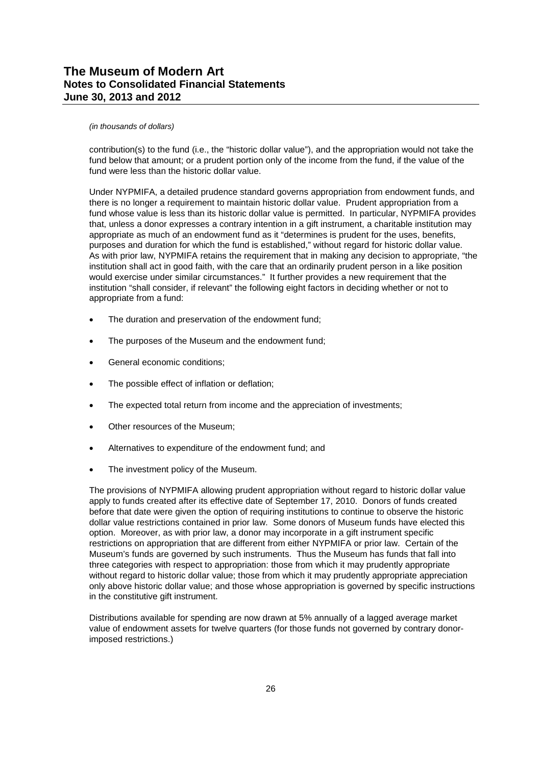#### *(in thousands of dollars)*

contribution(s) to the fund (i.e., the "historic dollar value"), and the appropriation would not take the fund below that amount; or a prudent portion only of the income from the fund, if the value of the fund were less than the historic dollar value.

Under NYPMIFA, a detailed prudence standard governs appropriation from endowment funds, and there is no longer a requirement to maintain historic dollar value. Prudent appropriation from a fund whose value is less than its historic dollar value is permitted. In particular, NYPMIFA provides that, unless a donor expresses a contrary intention in a gift instrument, a charitable institution may appropriate as much of an endowment fund as it "determines is prudent for the uses, benefits, purposes and duration for which the fund is established," without regard for historic dollar value. As with prior law, NYPMIFA retains the requirement that in making any decision to appropriate, "the institution shall act in good faith, with the care that an ordinarily prudent person in a like position would exercise under similar circumstances." It further provides a new requirement that the institution "shall consider, if relevant" the following eight factors in deciding whether or not to appropriate from a fund:

- The duration and preservation of the endowment fund;
- The purposes of the Museum and the endowment fund;
- General economic conditions;
- The possible effect of inflation or deflation;
- The expected total return from income and the appreciation of investments;
- Other resources of the Museum;
- Alternatives to expenditure of the endowment fund; and
- The investment policy of the Museum.

The provisions of NYPMIFA allowing prudent appropriation without regard to historic dollar value apply to funds created after its effective date of September 17, 2010. Donors of funds created before that date were given the option of requiring institutions to continue to observe the historic dollar value restrictions contained in prior law. Some donors of Museum funds have elected this option. Moreover, as with prior law, a donor may incorporate in a gift instrument specific restrictions on appropriation that are different from either NYPMIFA or prior law. Certain of the Museum's funds are governed by such instruments. Thus the Museum has funds that fall into three categories with respect to appropriation: those from which it may prudently appropriate without regard to historic dollar value; those from which it may prudently appropriate appreciation only above historic dollar value; and those whose appropriation is governed by specific instructions in the constitutive gift instrument.

Distributions available for spending are now drawn at 5% annually of a lagged average market value of endowment assets for twelve quarters (for those funds not governed by contrary donorimposed restrictions.)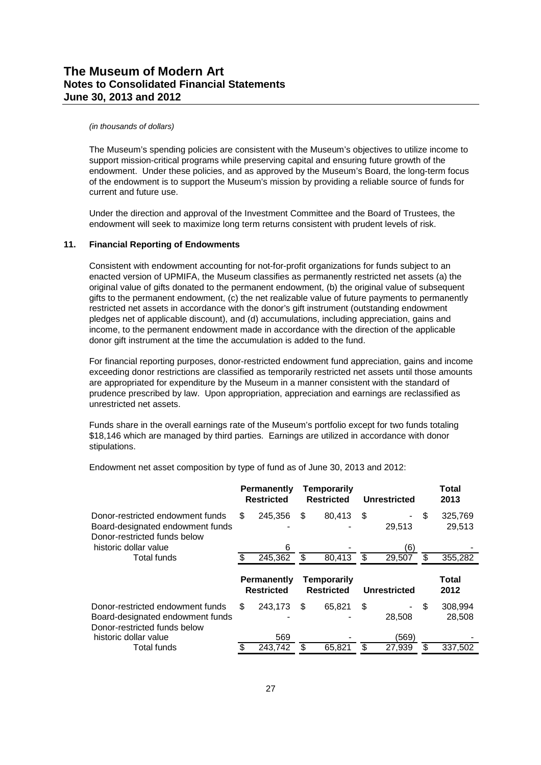#### *(in thousands of dollars)*

The Museum's spending policies are consistent with the Museum's objectives to utilize income to support mission-critical programs while preserving capital and ensuring future growth of the endowment. Under these policies, and as approved by the Museum's Board, the long-term focus of the endowment is to support the Museum's mission by providing a reliable source of funds for current and future use.

Under the direction and approval of the Investment Committee and the Board of Trustees, the endowment will seek to maximize long term returns consistent with prudent levels of risk.

#### **11. Financial Reporting of Endowments**

Consistent with endowment accounting for not-for-profit organizations for funds subject to an enacted version of UPMIFA, the Museum classifies as permanently restricted net assets (a) the original value of gifts donated to the permanent endowment, (b) the original value of subsequent gifts to the permanent endowment, (c) the net realizable value of future payments to permanently restricted net assets in accordance with the donor's gift instrument (outstanding endowment pledges net of applicable discount), and (d) accumulations, including appreciation, gains and income, to the permanent endowment made in accordance with the direction of the applicable donor gift instrument at the time the accumulation is added to the fund.

For financial reporting purposes, donor-restricted endowment fund appreciation, gains and income exceeding donor restrictions are classified as temporarily restricted net assets until those amounts are appropriated for expenditure by the Museum in a manner consistent with the standard of prudence prescribed by law. Upon appropriation, appreciation and earnings are reclassified as unrestricted net assets.

Funds share in the overall earnings rate of the Museum's portfolio except for two funds totaling \$18,146 which are managed by third parties. Earnings are utilized in accordance with donor stipulations.

Endowment net asset composition by type of fund as of June 30, 2013 and 2012:

|                                                                                                      | <b>Permanently</b><br><b>Restricted</b> |     | Temporarily<br><b>Restricted</b> | Unrestricted                             | <b>Total</b><br>2013    |  |
|------------------------------------------------------------------------------------------------------|-----------------------------------------|-----|----------------------------------|------------------------------------------|-------------------------|--|
| Donor-restricted endowment funds<br>Board-designated endowment funds<br>Donor-restricted funds below | \$<br>245.356                           | \$  | 80.413                           | \$<br>$\overline{\phantom{0}}$<br>29,513 | \$<br>325,769<br>29,513 |  |
| historic dollar value                                                                                | 6                                       |     |                                  | (6)                                      |                         |  |
| Total funds                                                                                          | 245,362                                 |     | 80,413                           | 29,507                                   | \$<br>355,282           |  |
|                                                                                                      |                                         |     |                                  |                                          |                         |  |
|                                                                                                      | <b>Permanently</b><br><b>Restricted</b> |     | Temporarily<br><b>Restricted</b> | <b>Unrestricted</b>                      | <b>Total</b><br>2012    |  |
| Donor-restricted endowment funds<br>Board-designated endowment funds<br>Donor-restricted funds below | \$<br>243.173                           | \$. | 65.821                           | \$<br>$\overline{\phantom{0}}$<br>28,508 | \$<br>308,994<br>28,508 |  |
| historic dollar value                                                                                | 569                                     |     |                                  | (569)                                    |                         |  |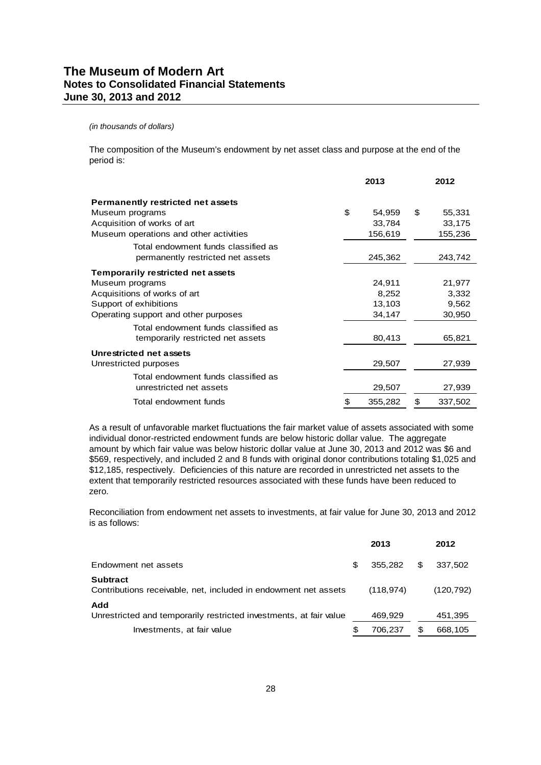#### *(in thousands of dollars)*

The composition of the Museum's endowment by net asset class and purpose at the end of the period is:

|                                          | 2013          | 2012          |
|------------------------------------------|---------------|---------------|
| <b>Permanently restricted net assets</b> |               |               |
| Museum programs                          | \$<br>54,959  | \$<br>55,331  |
| Acquisition of works of art              | 33,784        | 33,175        |
| Museum operations and other activities   | 156,619       | 155,236       |
| Total endowment funds classified as      |               |               |
| permanently restricted net assets        | 245,362       | 243,742       |
| Temporarily restricted net assets        |               |               |
| Museum programs                          | 24,911        | 21,977        |
| Acquisitions of works of art             | 8,252         | 3,332         |
| Support of exhibitions                   | 13,103        | 9,562         |
| Operating support and other purposes     | 34,147        | 30,950        |
| Total endowment funds classified as      |               |               |
| temporarily restricted net assets        | 80,413        | 65,821        |
| Unrestricted net assets                  |               |               |
| Unrestricted purposes                    | 29,507        | 27,939        |
| Total endowment funds classified as      |               |               |
| unrestricted net assets                  | 29,507        | 27,939        |
| Total endowment funds                    | \$<br>355,282 | \$<br>337,502 |

As a result of unfavorable market fluctuations the fair market value of assets associated with some individual donor-restricted endowment funds are below historic dollar value. The aggregate amount by which fair value was below historic dollar value at June 30, 2013 and 2012 was \$6 and \$569, respectively, and included 2 and 8 funds with original donor contributions totaling \$1,025 and \$12,185, respectively. Deficiencies of this nature are recorded in unrestricted net assets to the extent that temporarily restricted resources associated with these funds have been reduced to zero.

Reconciliation from endowment net assets to investments, at fair value for June 30, 2013 and 2012 is as follows:

|                                                                                    |     | 2013       |     | 2012       |
|------------------------------------------------------------------------------------|-----|------------|-----|------------|
| Endowment net assets                                                               | \$. | 355.282    | \$  | 337,502    |
| <b>Subtract</b><br>Contributions receivable, net, included in endowment net assets |     | (118, 974) |     | (120, 792) |
| Add<br>Unrestricted and temporarily restricted investments, at fair value          |     | 469.929    |     | 451,395    |
| Investments, at fair value                                                         |     | 706.237    | \$. | 668,105    |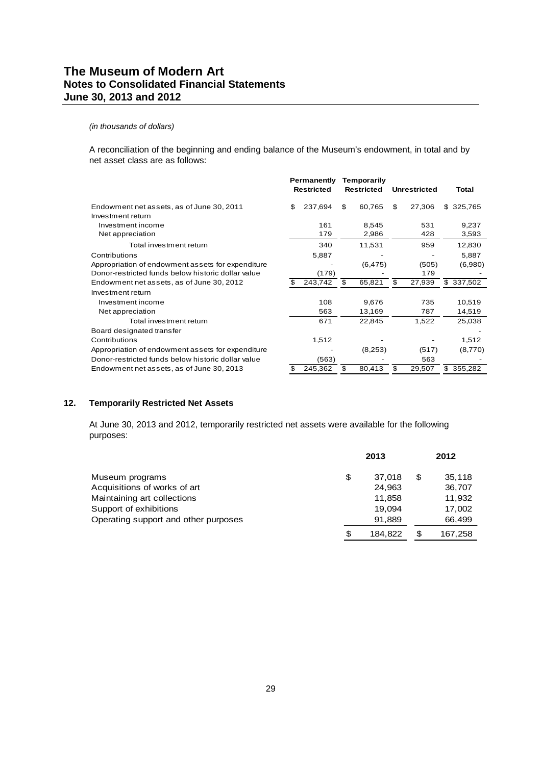### *(in thousands of dollars)*

A reconciliation of the beginning and ending balance of the Museum's endowment, in total and by net asset class are as follows:

|                                                    | <b>Permanently</b><br><b>Restricted</b> |         | Temporarily<br><b>Restricted</b> |          | Unrestricted |        | Total |           |
|----------------------------------------------------|-----------------------------------------|---------|----------------------------------|----------|--------------|--------|-------|-----------|
| Endowment net assets, as of June 30, 2011          | \$                                      | 237,694 | \$                               | 60,765   | \$           | 27.306 |       | \$325,765 |
| Investment return                                  |                                         |         |                                  |          |              |        |       |           |
| Investment income                                  |                                         | 161     |                                  | 8,545    |              | 531    |       | 9,237     |
| Net appreciation                                   |                                         | 179     |                                  | 2,986    |              | 428    |       | 3,593     |
| Total investment return                            |                                         | 340     |                                  | 11,531   |              | 959    |       | 12,830    |
| Contributions                                      |                                         | 5,887   |                                  |          |              |        |       | 5,887     |
| Appropriation of endowment assets for expenditure  |                                         |         |                                  | (6, 475) |              | (505)  |       | (6,980)   |
| Donor-restricted funds below historic dollar value |                                         | (179)   |                                  |          |              | 179    |       |           |
| Endowment net assets, as of June 30, 2012          | \$                                      | 243,742 | \$.                              | 65,821   | \$           | 27,939 |       | \$337,502 |
| Investment return                                  |                                         |         |                                  |          |              |        |       |           |
| Investment income                                  |                                         | 108     |                                  | 9,676    |              | 735    |       | 10,519    |
| Net appreciation                                   |                                         | 563     |                                  | 13,169   |              | 787    |       | 14,519    |
| Total investment return                            |                                         | 671     |                                  | 22,845   |              | 1,522  |       | 25,038    |
| Board designated transfer                          |                                         |         |                                  |          |              |        |       |           |
| Contributions                                      |                                         | 1,512   |                                  |          |              |        |       | 1,512     |
| Appropriation of endowment assets for expenditure  |                                         |         |                                  | (8,253)  |              | (517)  |       | (8,770)   |
| Donor-restricted funds below historic dollar value |                                         | (563)   |                                  |          |              | 563    |       |           |
| Endowment net assets, as of June 30, 2013          |                                         | 245,362 |                                  | 80,413   | \$           | 29,507 | \$.   | 355,282   |

### **12. Temporarily Restricted Net Assets**

At June 30, 2013 and 2012, temporarily restricted net assets were available for the following purposes:

|                                      | 2013          |    | 2012    |
|--------------------------------------|---------------|----|---------|
| Museum programs                      | \$<br>37.018  | \$ | 35,118  |
| Acquisitions of works of art         | 24,963        |    | 36,707  |
| Maintaining art collections          | 11.858        |    | 11,932  |
| Support of exhibitions               | 19.094        |    | 17.002  |
| Operating support and other purposes | 91,889        |    | 66.499  |
|                                      | \$<br>184.822 | S  | 167.258 |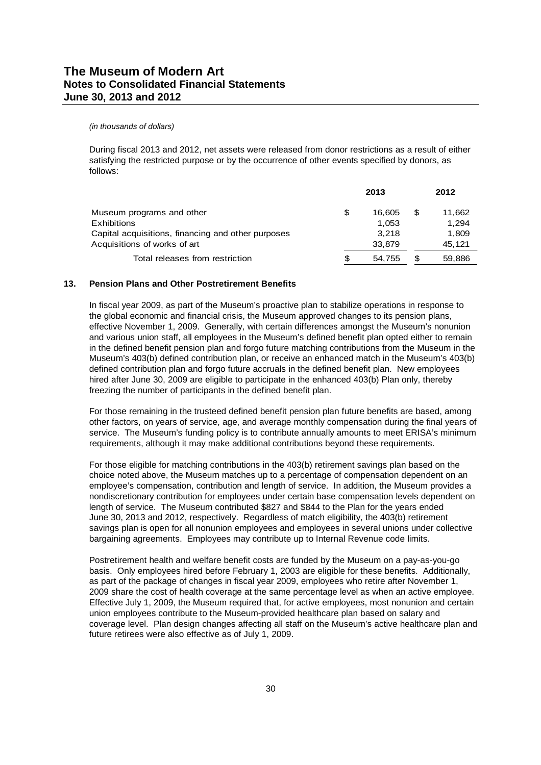#### *(in thousands of dollars)*

During fiscal 2013 and 2012, net assets were released from donor restrictions as a result of either satisfying the restricted purpose or by the occurrence of other events specified by donors, as follows:

|                                                    |    | 2013   |     | 2012   |
|----------------------------------------------------|----|--------|-----|--------|
| Museum programs and other                          | \$ | 16.605 | \$. | 11,662 |
| <b>Exhibitions</b>                                 |    | 1.053  |     | 1.294  |
| Capital acquisitions, financing and other purposes |    | 3.218  |     | 1.809  |
| Acquisitions of works of art                       |    | 33,879 |     | 45.121 |
| Total releases from restriction                    | S  | 54.755 |     | 59,886 |

#### **13. Pension Plans and Other Postretirement Benefits**

In fiscal year 2009, as part of the Museum's proactive plan to stabilize operations in response to the global economic and financial crisis, the Museum approved changes to its pension plans, effective November 1, 2009. Generally, with certain differences amongst the Museum's nonunion and various union staff, all employees in the Museum's defined benefit plan opted either to remain in the defined benefit pension plan and forgo future matching contributions from the Museum in the Museum's 403(b) defined contribution plan, or receive an enhanced match in the Museum's 403(b) defined contribution plan and forgo future accruals in the defined benefit plan. New employees hired after June 30, 2009 are eligible to participate in the enhanced 403(b) Plan only, thereby freezing the number of participants in the defined benefit plan.

For those remaining in the trusteed defined benefit pension plan future benefits are based, among other factors, on years of service, age, and average monthly compensation during the final years of service. The Museum's funding policy is to contribute annually amounts to meet ERISA's minimum requirements, although it may make additional contributions beyond these requirements.

For those eligible for matching contributions in the 403(b) retirement savings plan based on the choice noted above, the Museum matches up to a percentage of compensation dependent on an employee's compensation, contribution and length of service. In addition, the Museum provides a nondiscretionary contribution for employees under certain base compensation levels dependent on length of service. The Museum contributed \$827 and \$844 to the Plan for the years ended June 30, 2013 and 2012, respectively. Regardless of match eligibility, the 403(b) retirement savings plan is open for all nonunion employees and employees in several unions under collective bargaining agreements. Employees may contribute up to Internal Revenue code limits.

Postretirement health and welfare benefit costs are funded by the Museum on a pay-as-you-go basis. Only employees hired before February 1, 2003 are eligible for these benefits. Additionally, as part of the package of changes in fiscal year 2009, employees who retire after November 1, 2009 share the cost of health coverage at the same percentage level as when an active employee. Effective July 1, 2009, the Museum required that, for active employees, most nonunion and certain union employees contribute to the Museum-provided healthcare plan based on salary and coverage level. Plan design changes affecting all staff on the Museum's active healthcare plan and future retirees were also effective as of July 1, 2009.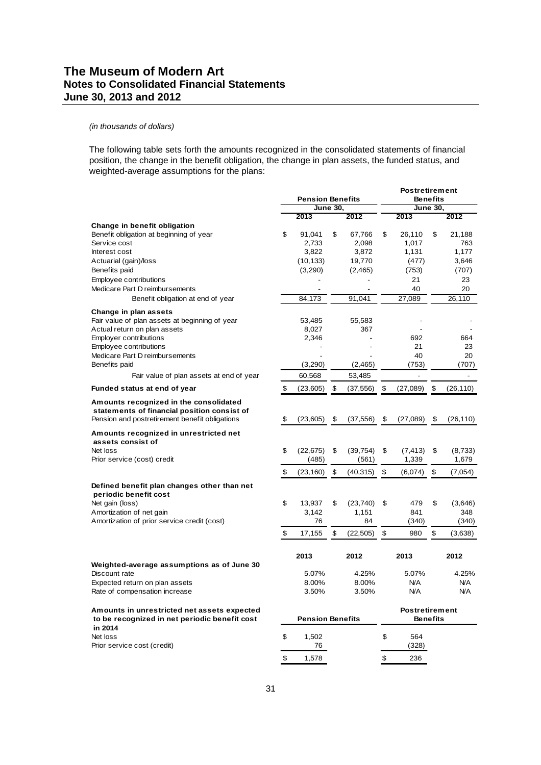### *(in thousands of dollars)*

The following table sets forth the amounts recognized in the consolidated statements of financial position, the change in the benefit obligation, the change in plan assets, the funded status, and weighted-average assumptions for the plans:

|                                                                                       | <b>Pension Benefits</b> |     |           | Postretirement<br><b>Benefits</b> |          |            |
|---------------------------------------------------------------------------------------|-------------------------|-----|-----------|-----------------------------------|----------|------------|
|                                                                                       | June 30,                |     |           |                                   | June 30. |            |
|                                                                                       | 2013                    |     | 2012      | 2013                              |          | 2012       |
| Change in benefit obligation                                                          |                         |     |           |                                   |          |            |
| Benefit obligation at beginning of year                                               | \$<br>91,041            | \$  | 67,766    | \$<br>26,110                      | \$       | 21,188     |
| Service cost                                                                          | 2,733                   |     | 2,098     | 1,017                             |          | 763        |
| Interest cost                                                                         | 3,822                   |     | 3,872     | 1,131                             |          | 1,177      |
| Actuarial (gain)/loss                                                                 | (10, 133)               |     | 19,770    | (477)                             |          | 3,646      |
| Benefits paid                                                                         | (3,290)                 |     | (2, 465)  | (753)                             |          | (707)      |
| Employee contributions                                                                |                         |     |           | 21                                |          | 23         |
| Medicare Part D reimbursements                                                        |                         |     |           | 40                                |          | 20         |
| Benefit obligation at end of year                                                     | 84,173                  |     | 91.041    | 27,089                            |          | 26,110     |
| Change in plan assets                                                                 |                         |     |           |                                   |          |            |
| Fair value of plan assets at beginning of year                                        | 53,485                  |     | 55,583    |                                   |          |            |
| Actual return on plan assets                                                          | 8,027                   |     | 367       |                                   |          |            |
| Employer contributions                                                                | 2,346                   |     |           | 692                               |          | 664        |
| Employee contributions                                                                |                         |     |           | 21                                |          | 23         |
| Medicare Part D reimbursements                                                        |                         |     |           | 40                                |          | 20         |
| Benefits paid                                                                         | (3,290)                 |     | (2, 465)  | (753)                             |          | (707)      |
| Fair value of plan assets at end of year                                              | 60,568                  |     | 53,485    | ÷,                                |          |            |
| Funded status at end of year                                                          | \$<br>(23,605)          | \$  | (37, 556) | \$<br>(27,089)                    | \$       | (26, 110)  |
| Amounts recognized in the consolidated<br>statements of financial position consist of |                         |     |           |                                   |          |            |
| Pension and postretirement benefit obligations                                        | \$<br>(23,605)          | -\$ | (37, 556) | \$<br>(27,089)                    | \$       | (26, 110)  |
| Amounts recognized in unrestricted net<br>assets consist of                           |                         |     |           |                                   |          |            |
| Net loss                                                                              | \$<br>(22, 675)         | \$  | (39, 754) | \$<br>(7, 413)                    | \$       | (8,733)    |
| Prior service (cost) credit                                                           | (485)                   |     | (561)     | 1,339                             |          | 1,679      |
|                                                                                       | \$<br>(23, 160)         | \$  | (40, 315) | \$<br>(6,074)                     | \$       | (7,054)    |
| Defined benefit plan changes other than net                                           |                         |     |           |                                   |          |            |
| periodic benefit cost                                                                 |                         |     |           |                                   |          |            |
| Net gain (loss)                                                                       | \$<br>13,937            | \$  | (23, 740) | \$<br>479                         | \$       | (3,646)    |
| Amortization of net gain                                                              | 3,142                   |     | 1,151     | 841                               |          | 348        |
| Amortization of prior service credit (cost)                                           | 76                      |     | 84        | (340)                             |          | (340)      |
|                                                                                       | \$<br>17,155            | \$  | (22, 505) | \$<br>980                         | \$       | (3,638)    |
|                                                                                       |                         |     |           |                                   |          |            |
| Weighted-average assumptions as of June 30                                            | 2013                    |     | 2012      | 2013                              |          | 2012       |
| Discount rate                                                                         | 5.07%                   |     | 4.25%     | 5.07%                             |          | 4.25%      |
| Expected return on plan assets                                                        | 8.00%                   |     | 8.00%     | ΝA                                |          | <b>N/A</b> |
| Rate of compensation increase                                                         | 3.50%                   |     | 3.50%     | ΝA                                |          | ΝA         |
| Amounts in unrestricted net assets expected                                           |                         |     |           | <b>Postretirement</b>             |          |            |
| to be recognized in net periodic benefit cost                                         | <b>Pension Benefits</b> |     |           | <b>Benefits</b>                   |          |            |
| in 2014                                                                               |                         |     |           |                                   |          |            |
| Net loss                                                                              | \$<br>1,502             |     |           | \$<br>564                         |          |            |
| Prior service cost (credit)                                                           | 76                      |     |           | (328)                             |          |            |
|                                                                                       | \$<br>1,578             |     |           | \$<br>236                         |          |            |
|                                                                                       |                         |     |           |                                   |          |            |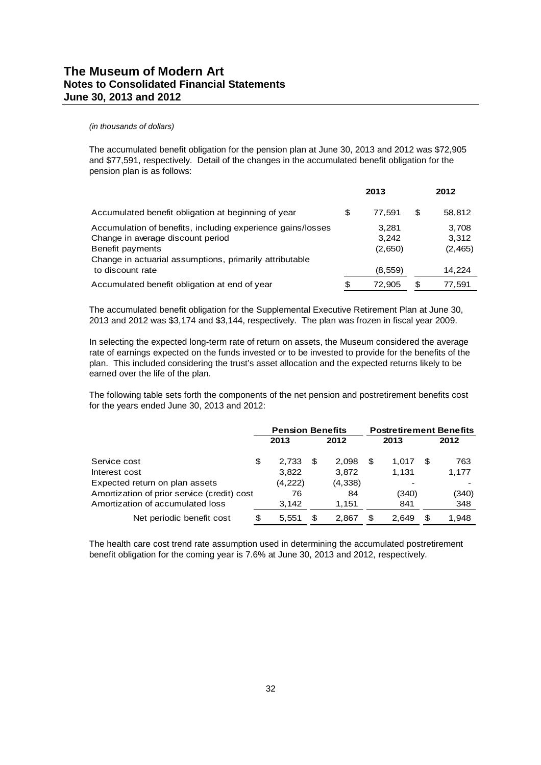#### *(in thousands of dollars)*

The accumulated benefit obligation for the pension plan at June 30, 2013 and 2012 was \$72,905 and \$77,591, respectively. Detail of the changes in the accumulated benefit obligation for the pension plan is as follows:

|                                                                                                                                                                                 |    | 2013                      |   | 2012                       |
|---------------------------------------------------------------------------------------------------------------------------------------------------------------------------------|----|---------------------------|---|----------------------------|
| Accumulated benefit obligation at beginning of year                                                                                                                             | \$ | 77.591                    | S | 58.812                     |
| Accumulation of benefits, including experience gains/losses<br>Change in average discount period<br>Benefit payments<br>Change in actuarial assumptions, primarily attributable |    | 3.281<br>3,242<br>(2,650) |   | 3,708<br>3,312<br>(2, 465) |
| to discount rate                                                                                                                                                                |    | (8, 559)                  |   | 14,224                     |
| Accumulated benefit obligation at end of year                                                                                                                                   | S  | 72.905                    |   | 77.591                     |

The accumulated benefit obligation for the Supplemental Executive Retirement Plan at June 30, 2013 and 2012 was \$3,174 and \$3,144, respectively. The plan was frozen in fiscal year 2009.

In selecting the expected long-term rate of return on assets, the Museum considered the average rate of earnings expected on the funds invested or to be invested to provide for the benefits of the plan. This included considering the trust's asset allocation and the expected returns likely to be earned over the life of the plan.

The following table sets forth the components of the net pension and postretirement benefits cost for the years ended June 30, 2013 and 2012:

|                                             |    | <b>Pension Benefits</b> |    |          |     |       | <b>Postretirement Benefits</b> |       |
|---------------------------------------------|----|-------------------------|----|----------|-----|-------|--------------------------------|-------|
|                                             |    | 2013                    |    | 2012     |     | 2013  |                                | 2012  |
| Service cost                                | \$ | 2,733                   | S  | 2,098    | -SS | 1.017 | S.                             | 763   |
| Interest cost                               |    | 3.822                   |    | 3.872    |     | 1.131 |                                | 1.177 |
| Expected return on plan assets              |    | (4,222)                 |    | (4, 338) |     | ٠     |                                |       |
| Amortization of prior service (credit) cost |    | 76                      |    | 84       |     | (340) |                                | (340) |
| Amortization of accumulated loss            |    | 3,142                   |    | 1.151    |     | 841   |                                | 348   |
| Net periodic benefit cost                   | \$ | 5,551                   | \$ | 2.867    |     | 2.649 |                                | 1.948 |

The health care cost trend rate assumption used in determining the accumulated postretirement benefit obligation for the coming year is 7.6% at June 30, 2013 and 2012, respectively.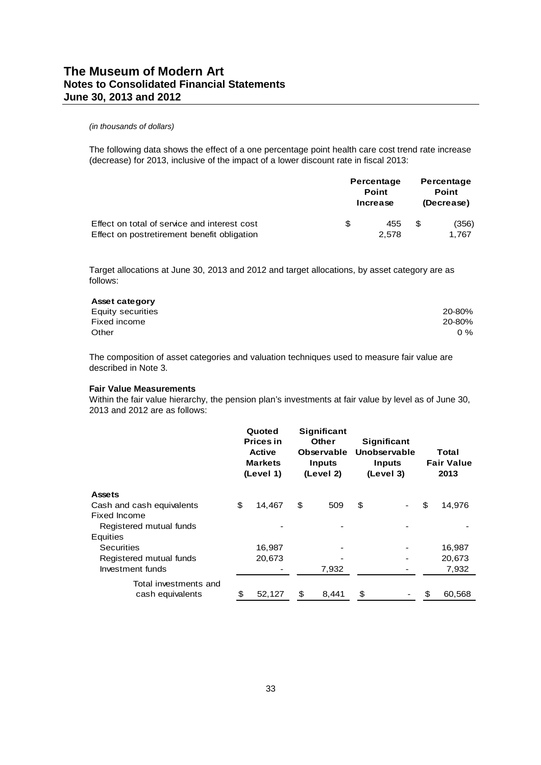#### *(in thousands of dollars)*

The following data shows the effect of a one percentage point health care cost trend rate increase (decrease) for 2013, inclusive of the impact of a lower discount rate in fiscal 2013:

| Effect on total of service and interest cost<br>Effect on postretirement benefit obligation |   | Percentage<br>Point<br>Increase |    | Percentage<br><b>Point</b><br>(Decrease) |  |
|---------------------------------------------------------------------------------------------|---|---------------------------------|----|------------------------------------------|--|
|                                                                                             | S | 455<br>2.578                    | -S | (356)<br>1.767                           |  |

Target allocations at June 30, 2013 and 2012 and target allocations, by asset category are as follows:

### **Asset category**

| Equity securities | 20-80% |
|-------------------|--------|
| Fixed income      | 20-80% |
| Other             | $0\%$  |

The composition of asset categories and valuation techniques used to measure fair value are described in Note 3.

### **Fair Value Measurements**

Within the fair value hierarchy, the pension plan's investments at fair value by level as of June 30, 2013 and 2012 are as follows:

|                                           | Quoted<br><b>Prices in</b><br><b>Other</b><br><b>Significant</b><br><b>Active</b><br><b>Observable</b><br>Unobservable<br><b>Markets</b><br><b>Inputs</b><br>Inputs<br>(Level 1)<br>(Level 2)<br>(Level 3) |    | <b>Significant</b> |    |  |              | Total<br><b>Fair Value</b><br>2013 |  |
|-------------------------------------------|------------------------------------------------------------------------------------------------------------------------------------------------------------------------------------------------------------|----|--------------------|----|--|--------------|------------------------------------|--|
| <b>Assets</b>                             |                                                                                                                                                                                                            |    |                    |    |  |              |                                    |  |
| Cash and cash equivalents                 | \$<br>14,467                                                                                                                                                                                               | \$ | 509                | \$ |  | \$<br>14,976 |                                    |  |
| Fixed Income                              |                                                                                                                                                                                                            |    |                    |    |  |              |                                    |  |
| Registered mutual funds                   |                                                                                                                                                                                                            |    |                    |    |  |              |                                    |  |
| Equities                                  |                                                                                                                                                                                                            |    |                    |    |  |              |                                    |  |
| <b>Securities</b>                         | 16,987                                                                                                                                                                                                     |    |                    |    |  | 16,987       |                                    |  |
| Registered mutual funds                   | 20,673                                                                                                                                                                                                     |    |                    |    |  | 20,673       |                                    |  |
| Investment funds                          |                                                                                                                                                                                                            |    | 7,932              |    |  | 7,932        |                                    |  |
| Total investments and<br>cash equivalents | \$<br>52,127                                                                                                                                                                                               | \$ | 8,441              | \$ |  | \$<br>60,568 |                                    |  |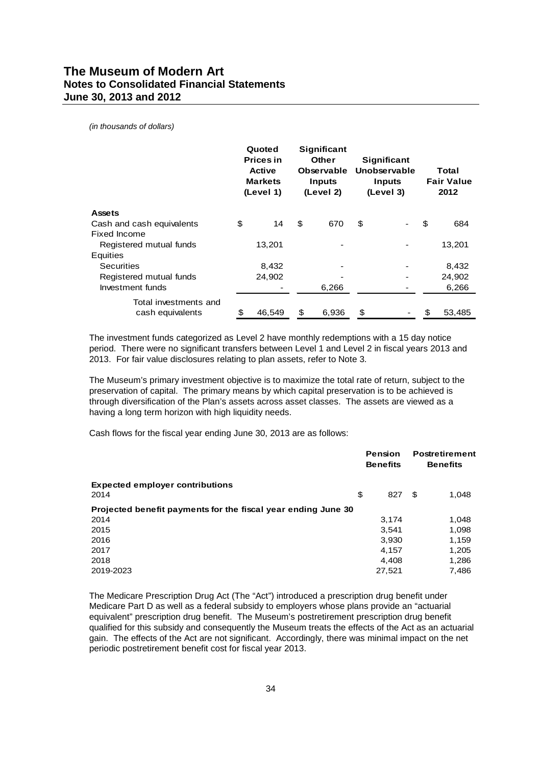*(in thousands of dollars)*

|                                           | Quoted<br><b>Prices in</b><br><b>Active</b><br><b>Markets</b><br>(Level 1) | <b>Significant</b><br><b>Other</b><br>Observable<br><b>Inputs</b><br>(Level 2) | <b>Significant</b><br>Unobservable<br>Inputs<br>(Level 3) | Total<br><b>Fair Value</b><br>2012 |
|-------------------------------------------|----------------------------------------------------------------------------|--------------------------------------------------------------------------------|-----------------------------------------------------------|------------------------------------|
| <b>Assets</b>                             |                                                                            |                                                                                |                                                           |                                    |
| Cash and cash equivalents                 | \$<br>14                                                                   | \$<br>670                                                                      | \$                                                        | \$<br>684                          |
| Fixed Income                              |                                                                            |                                                                                |                                                           |                                    |
| Registered mutual funds                   | 13,201                                                                     |                                                                                |                                                           | 13,201                             |
| Equities                                  |                                                                            |                                                                                |                                                           |                                    |
| <b>Securities</b>                         | 8,432                                                                      |                                                                                |                                                           | 8,432                              |
| Registered mutual funds                   | 24,902                                                                     |                                                                                |                                                           | 24,902                             |
| Investment funds                          |                                                                            | 6,266                                                                          |                                                           | 6,266                              |
| Total investments and<br>cash equivalents | \$<br>46,549                                                               | \$<br>6,936                                                                    | \$                                                        | \$<br>53,485                       |

The investment funds categorized as Level 2 have monthly redemptions with a 15 day notice period. There were no significant transfers between Level 1 and Level 2 in fiscal years 2013 and 2013. For fair value disclosures relating to plan assets, refer to Note 3.

The Museum's primary investment objective is to maximize the total rate of return, subject to the preservation of capital. The primary means by which capital preservation is to be achieved is through diversification of the Plan's assets across asset classes. The assets are viewed as a having a long term horizon with high liquidity needs.

Cash flows for the fiscal year ending June 30, 2013 are as follows:

|                                                               | <b>Pension</b><br><b>Benefits</b> |   | <b>Postretirement</b><br><b>Benefits</b> |
|---------------------------------------------------------------|-----------------------------------|---|------------------------------------------|
| <b>Expected employer contributions</b><br>2014                | \$<br>827                         | S | 1,048                                    |
| Projected benefit payments for the fiscal year ending June 30 |                                   |   |                                          |
| 2014                                                          | 3.174                             |   | 1,048                                    |
| 2015                                                          | 3.541                             |   | 1,098                                    |
| 2016                                                          | 3,930                             |   | 1,159                                    |
| 2017                                                          | 4,157                             |   | 1,205                                    |
| 2018                                                          | 4.408                             |   | 1,286                                    |
| 2019-2023                                                     | 27,521                            |   | 7,486                                    |

The Medicare Prescription Drug Act (The "Act") introduced a prescription drug benefit under Medicare Part D as well as a federal subsidy to employers whose plans provide an "actuarial equivalent" prescription drug benefit. The Museum's postretirement prescription drug benefit qualified for this subsidy and consequently the Museum treats the effects of the Act as an actuarial gain. The effects of the Act are not significant. Accordingly, there was minimal impact on the net periodic postretirement benefit cost for fiscal year 2013.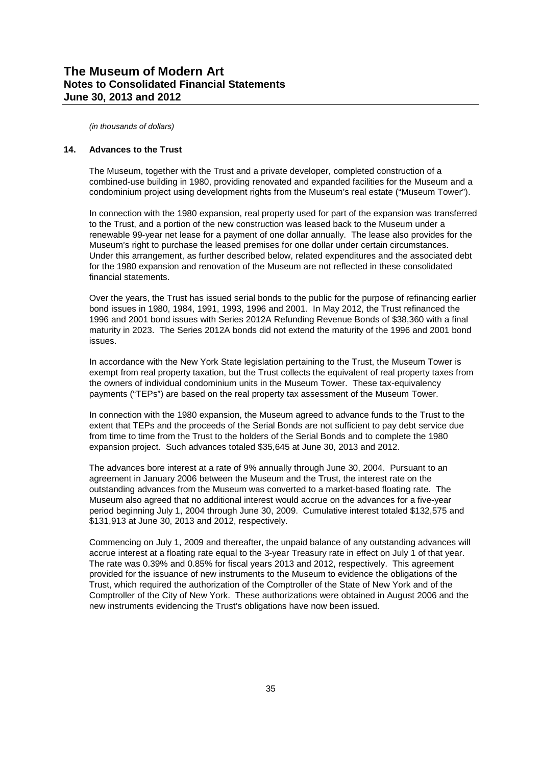*(in thousands of dollars)*

#### **14. Advances to the Trust**

The Museum, together with the Trust and a private developer, completed construction of a combined-use building in 1980, providing renovated and expanded facilities for the Museum and a condominium project using development rights from the Museum's real estate ("Museum Tower").

In connection with the 1980 expansion, real property used for part of the expansion was transferred to the Trust, and a portion of the new construction was leased back to the Museum under a renewable 99-year net lease for a payment of one dollar annually. The lease also provides for the Museum's right to purchase the leased premises for one dollar under certain circumstances. Under this arrangement, as further described below, related expenditures and the associated debt for the 1980 expansion and renovation of the Museum are not reflected in these consolidated financial statements.

Over the years, the Trust has issued serial bonds to the public for the purpose of refinancing earlier bond issues in 1980, 1984, 1991, 1993, 1996 and 2001. In May 2012, the Trust refinanced the 1996 and 2001 bond issues with Series 2012A Refunding Revenue Bonds of \$38,360 with a final maturity in 2023. The Series 2012A bonds did not extend the maturity of the 1996 and 2001 bond issues.

In accordance with the New York State legislation pertaining to the Trust, the Museum Tower is exempt from real property taxation, but the Trust collects the equivalent of real property taxes from the owners of individual condominium units in the Museum Tower. These tax-equivalency payments ("TEPs") are based on the real property tax assessment of the Museum Tower.

In connection with the 1980 expansion, the Museum agreed to advance funds to the Trust to the extent that TEPs and the proceeds of the Serial Bonds are not sufficient to pay debt service due from time to time from the Trust to the holders of the Serial Bonds and to complete the 1980 expansion project. Such advances totaled \$35,645 at June 30, 2013 and 2012.

The advances bore interest at a rate of 9% annually through June 30, 2004. Pursuant to an agreement in January 2006 between the Museum and the Trust, the interest rate on the outstanding advances from the Museum was converted to a market-based floating rate. The Museum also agreed that no additional interest would accrue on the advances for a five-year period beginning July 1, 2004 through June 30, 2009. Cumulative interest totaled \$132,575 and \$131,913 at June 30, 2013 and 2012, respectively.

Commencing on July 1, 2009 and thereafter, the unpaid balance of any outstanding advances will accrue interest at a floating rate equal to the 3-year Treasury rate in effect on July 1 of that year. The rate was 0.39% and 0.85% for fiscal years 2013 and 2012, respectively. This agreement provided for the issuance of new instruments to the Museum to evidence the obligations of the Trust, which required the authorization of the Comptroller of the State of New York and of the Comptroller of the City of New York. These authorizations were obtained in August 2006 and the new instruments evidencing the Trust's obligations have now been issued.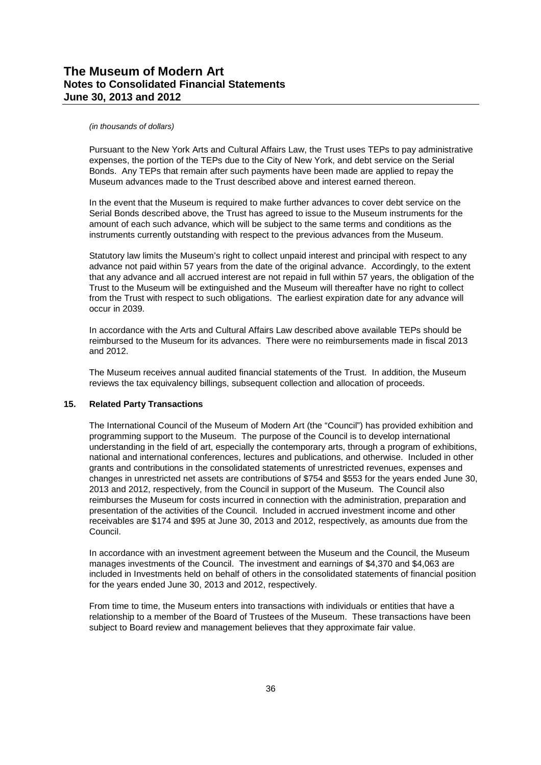#### *(in thousands of dollars)*

Pursuant to the New York Arts and Cultural Affairs Law, the Trust uses TEPs to pay administrative expenses, the portion of the TEPs due to the City of New York, and debt service on the Serial Bonds. Any TEPs that remain after such payments have been made are applied to repay the Museum advances made to the Trust described above and interest earned thereon.

In the event that the Museum is required to make further advances to cover debt service on the Serial Bonds described above, the Trust has agreed to issue to the Museum instruments for the amount of each such advance, which will be subject to the same terms and conditions as the instruments currently outstanding with respect to the previous advances from the Museum.

Statutory law limits the Museum's right to collect unpaid interest and principal with respect to any advance not paid within 57 years from the date of the original advance. Accordingly, to the extent that any advance and all accrued interest are not repaid in full within 57 years, the obligation of the Trust to the Museum will be extinguished and the Museum will thereafter have no right to collect from the Trust with respect to such obligations. The earliest expiration date for any advance will occur in 2039.

In accordance with the Arts and Cultural Affairs Law described above available TEPs should be reimbursed to the Museum for its advances. There were no reimbursements made in fiscal 2013 and 2012.

The Museum receives annual audited financial statements of the Trust. In addition, the Museum reviews the tax equivalency billings, subsequent collection and allocation of proceeds.

### **15. Related Party Transactions**

The International Council of the Museum of Modern Art (the "Council") has provided exhibition and programming support to the Museum. The purpose of the Council is to develop international understanding in the field of art, especially the contemporary arts, through a program of exhibitions, national and international conferences, lectures and publications, and otherwise. Included in other grants and contributions in the consolidated statements of unrestricted revenues, expenses and changes in unrestricted net assets are contributions of \$754 and \$553 for the years ended June 30, 2013 and 2012, respectively, from the Council in support of the Museum. The Council also reimburses the Museum for costs incurred in connection with the administration, preparation and presentation of the activities of the Council. Included in accrued investment income and other receivables are \$174 and \$95 at June 30, 2013 and 2012, respectively, as amounts due from the Council.

In accordance with an investment agreement between the Museum and the Council, the Museum manages investments of the Council. The investment and earnings of \$4,370 and \$4,063 are included in Investments held on behalf of others in the consolidated statements of financial position for the years ended June 30, 2013 and 2012, respectively.

From time to time, the Museum enters into transactions with individuals or entities that have a relationship to a member of the Board of Trustees of the Museum. These transactions have been subject to Board review and management believes that they approximate fair value.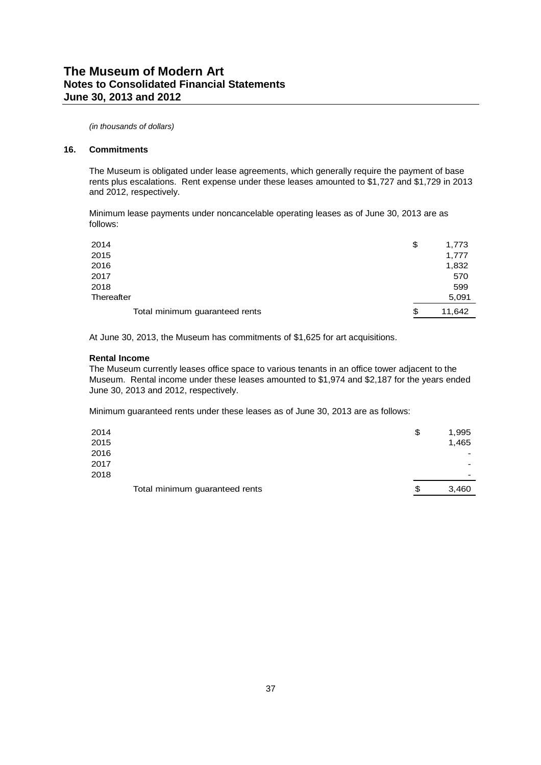*(in thousands of dollars)*

### **16. Commitments**

The Museum is obligated under lease agreements, which generally require the payment of base rents plus escalations. Rent expense under these leases amounted to \$1,727 and \$1,729 in 2013 and 2012, respectively.

Minimum lease payments under noncancelable operating leases as of June 30, 2013 are as follows:

| 2014                           | \$<br>1,773  |
|--------------------------------|--------------|
| 2015                           | 1,777        |
| 2016                           | 1,832        |
| 2017                           | 570          |
| 2018                           | 599          |
| Thereafter                     | 5,091        |
| Total minimum guaranteed rents | \$<br>11,642 |

At June 30, 2013, the Museum has commitments of \$1,625 for art acquisitions.

### **Rental Income**

The Museum currently leases office space to various tenants in an office tower adjacent to the Museum. Rental income under these leases amounted to \$1,974 and \$2,187 for the years ended June 30, 2013 and 2012, respectively.

Minimum guaranteed rents under these leases as of June 30, 2013 are as follows:

| 2014                           | 1,995<br>\$ |  |
|--------------------------------|-------------|--|
| 2015                           | 1,465       |  |
| 2016                           | -           |  |
| 2017                           | -           |  |
| 2018                           | -           |  |
| Total minimum guaranteed rents | 3,460<br>\$ |  |